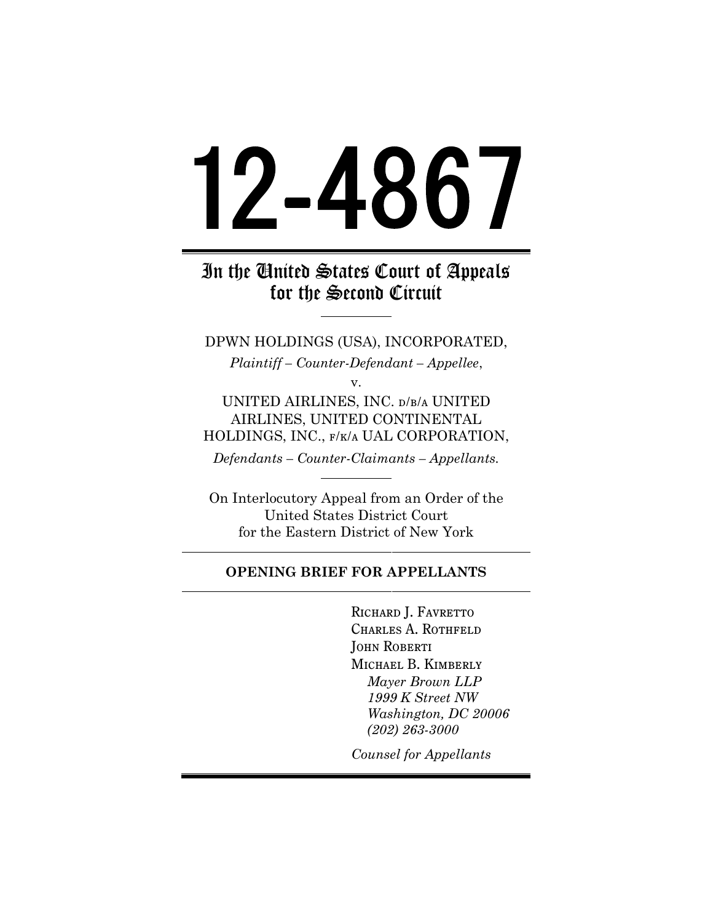# 12 4867

# In the United States Court of Appeals for the Second Circuit

DPWN HOLDINGS (USA), INCORPORATED, *Plaintiff – Counter-Defendant – Appellee*,

v.

UNITED AIRLINES, INC. d/b/a UNITED AIRLINES, UNITED CONTINENTAL HOLDINGS, INC., f/k/a UAL CORPORATION,

*Defendants – Counter-Claimants – Appellants.*

On Interlocutory Appeal from an Order of the United States District Court for the Eastern District of New York

## **OPENING BRIEF FOR APPELLANTS**

RICHARD J. FAVRETTO Charles A. Rothfeld John Roberti Michael B. Kimberly *Mayer Brown LLP 1999 K Street NW Washington, DC 20006 (202) 263-3000*

*Counsel for Appellants*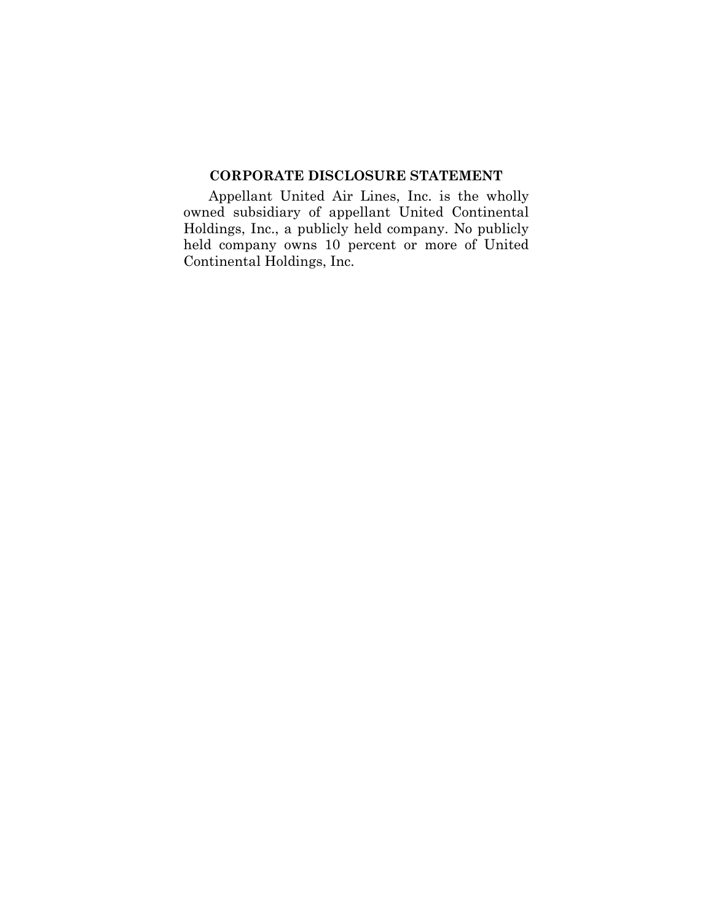## **CORPORATE DISCLOSURE STATEMENT**

Appellant United Air Lines, Inc. is the wholly owned subsidiary of appellant United Continental Holdings, Inc., a publicly held company. No publicly held company owns 10 percent or more of United Continental Holdings, Inc.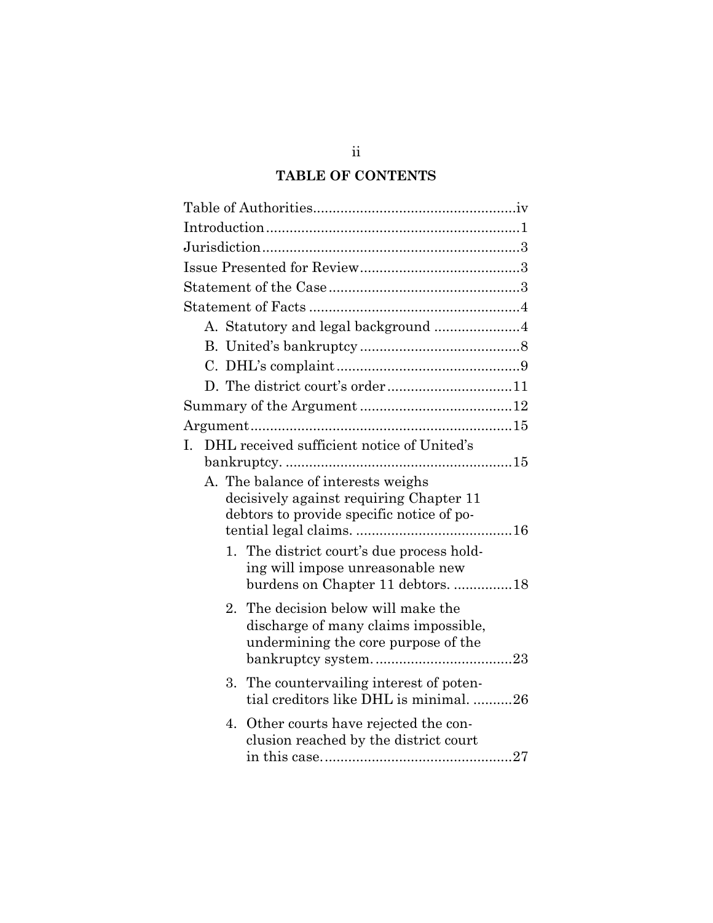# **TABLE OF CONTENTS**

|                                           |       | A. Statutory and legal background 4        |  |
|-------------------------------------------|-------|--------------------------------------------|--|
|                                           |       |                                            |  |
|                                           |       |                                            |  |
|                                           |       |                                            |  |
|                                           |       |                                            |  |
|                                           |       |                                            |  |
| Ι.                                        |       | DHL received sufficient notice of United's |  |
|                                           |       |                                            |  |
|                                           |       | A. The balance of interests weighs         |  |
|                                           |       | decisively against requiring Chapter 11    |  |
| debtors to provide specific notice of po- |       |                                            |  |
|                                           |       | 1. The district court's due process hold-  |  |
|                                           |       | ing will impose unreasonable new           |  |
|                                           |       | burdens on Chapter 11 debtors. 18          |  |
|                                           | $2 -$ | The decision below will make the           |  |
|                                           |       | discharge of many claims impossible,       |  |
|                                           |       | undermining the core purpose of the        |  |
|                                           |       |                                            |  |
|                                           | 3.    | The countervailing interest of poten-      |  |
|                                           |       | tial creditors like DHL is minimal. 26     |  |
|                                           | 4.    | Other courts have rejected the con-        |  |
|                                           |       | clusion reached by the district court      |  |
|                                           |       |                                            |  |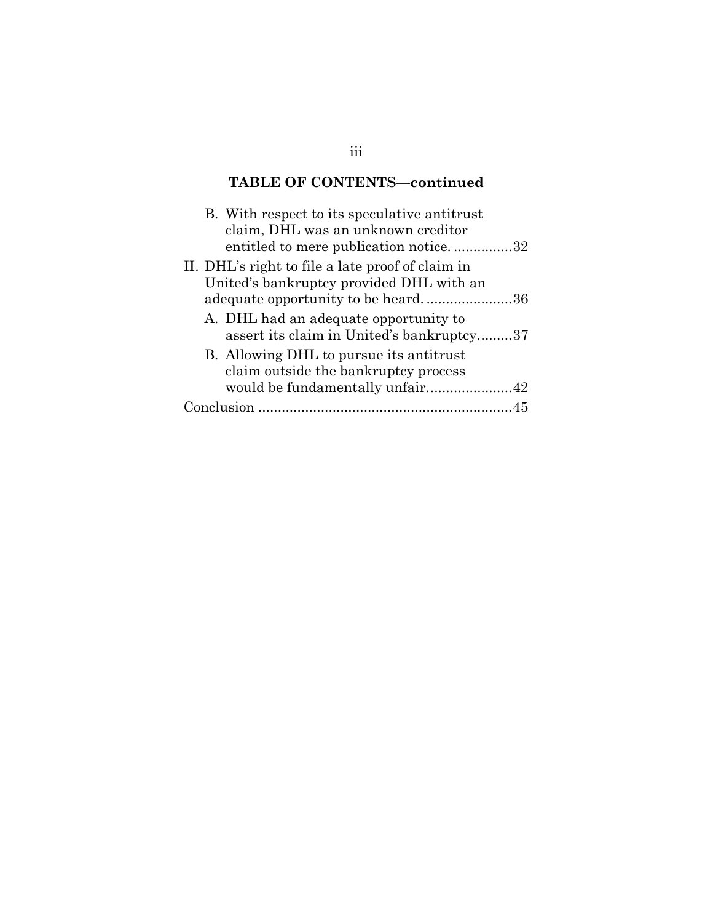# **TABLE OF CONTENTS—continued**

|            | B. With respect to its speculative antitrust<br>claim, DHL was an unknown creditor<br>entitled to mere publication notice32 |  |
|------------|-----------------------------------------------------------------------------------------------------------------------------|--|
|            | II. DHL's right to file a late proof of claim in                                                                            |  |
|            | United's bankruptcy provided DHL with an<br>adequate opportunity to be heard36                                              |  |
|            | A. DHL had an adequate opportunity to<br>assert its claim in United's bankruptcy37                                          |  |
|            | B. Allowing DHL to pursue its antitrust<br>claim outside the bankruptcy process                                             |  |
|            | would be fundamentally unfair42                                                                                             |  |
| Conclusion |                                                                                                                             |  |

## iii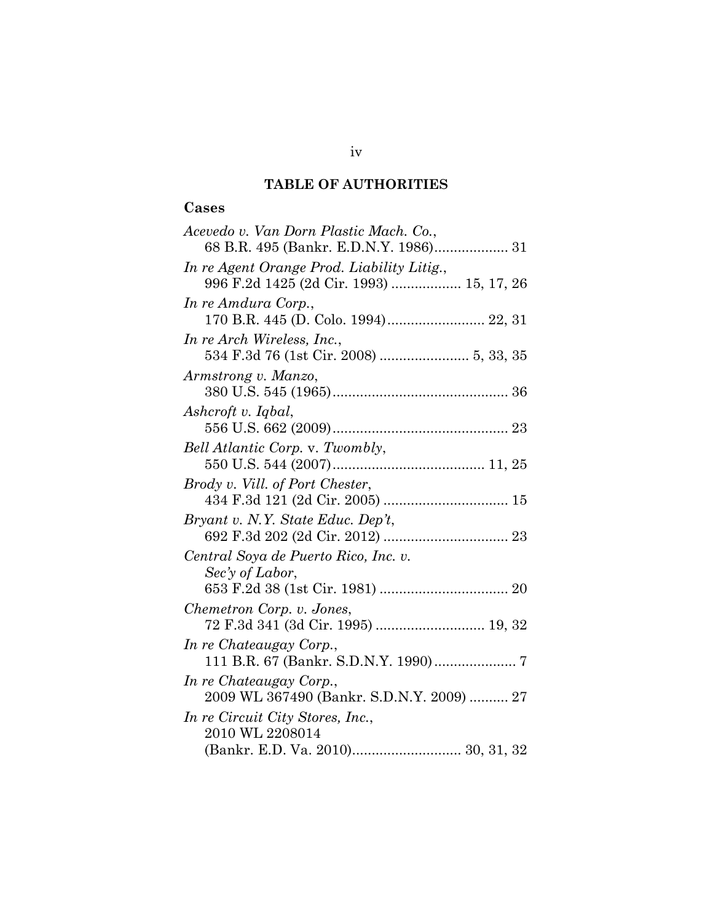# **Cases**

| Acevedo v. Van Dorn Plastic Mach. Co.,     |
|--------------------------------------------|
| 68 B.R. 495 (Bankr. E.D.N.Y. 1986) 31      |
| In re Agent Orange Prod. Liability Litig., |
| 996 F.2d 1425 (2d Cir. 1993)  15, 17, 26   |
| In re Amdura Corp.,                        |
| 170 B.R. 445 (D. Colo. 1994) 22, 31        |
| In re Arch Wireless, Inc.,                 |
| 534 F.3d 76 (1st Cir. 2008)  5, 33, 35     |
| Armstrong v. Manzo,                        |
|                                            |
| Ashcroft v. Iqbal,                         |
|                                            |
| Bell Atlantic Corp. v. Twombly,            |
|                                            |
| Brody v. Vill. of Port Chester,            |
|                                            |
| Bryant v. N.Y. State Educ. Dep't,          |
|                                            |
| Central Soya de Puerto Rico, Inc. v.       |
| Sec'y of Labor,                            |
|                                            |
| Chemetron Corp. v. Jones,                  |
|                                            |
| In re Chateaugay Corp.,                    |
|                                            |
| In re Chateaugay Corp.,                    |
| 2009 WL 367490 (Bankr. S.D.N.Y. 2009)  27  |
| In re Circuit City Stores, Inc.,           |
| 2010 WL 2208014                            |
|                                            |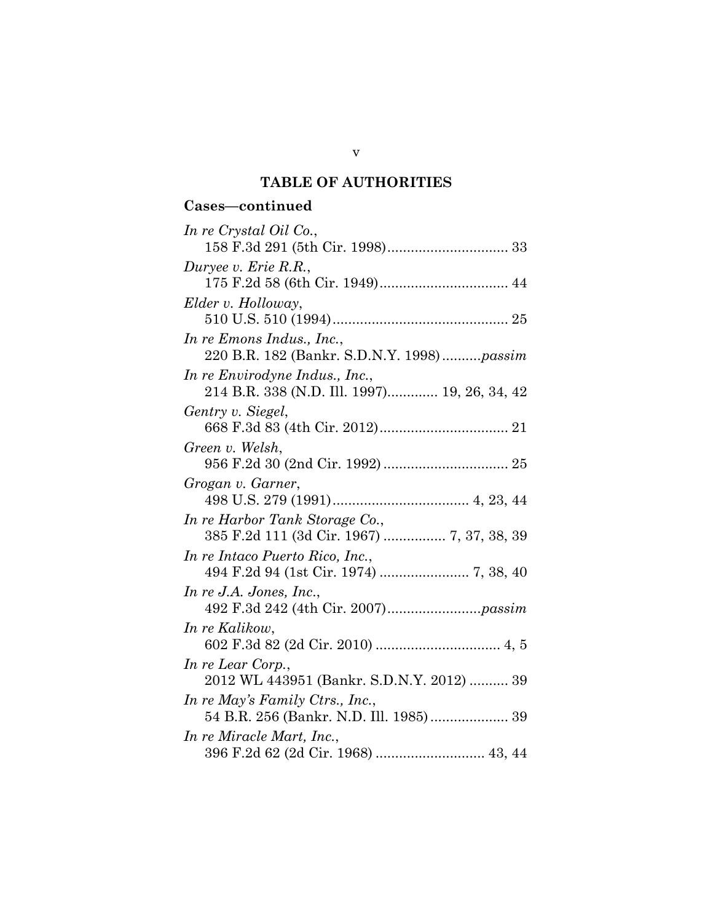## **Cases—continued**

| In re Crystal Oil Co.,                            |
|---------------------------------------------------|
|                                                   |
| Duryee v. Erie R.R.,                              |
|                                                   |
| Elder v. Holloway,                                |
|                                                   |
| In re Emons Indus., Inc.,                         |
| 220 B.R. 182 (Bankr. S.D.N.Y. 1998) <i>passim</i> |
| In re Envirodyne Indus., Inc.,                    |
| 214 B.R. 338 (N.D. Ill. 1997) 19, 26, 34, 42      |
| Gentry v. Siegel,                                 |
|                                                   |
| Green v. Welsh,                                   |
|                                                   |
| Grogan v. Garner,                                 |
|                                                   |
| In re Harbor Tank Storage Co.,                    |
| 385 F.2d 111 (3d Cir. 1967)  7, 37, 38, 39        |
| In re Intaco Puerto Rico, Inc.,                   |
|                                                   |
| In re J.A. Jones, Inc.,                           |
|                                                   |
| In re Kalikow,                                    |
|                                                   |
| In re Lear Corp.,                                 |
| 2012 WL 443951 (Bankr. S.D.N.Y. 2012)  39         |
| In re May's Family Ctrs., Inc.,                   |
| 54 B.R. 256 (Bankr. N.D. Ill. 1985) 39            |
| In re Miracle Mart, Inc.,                         |
|                                                   |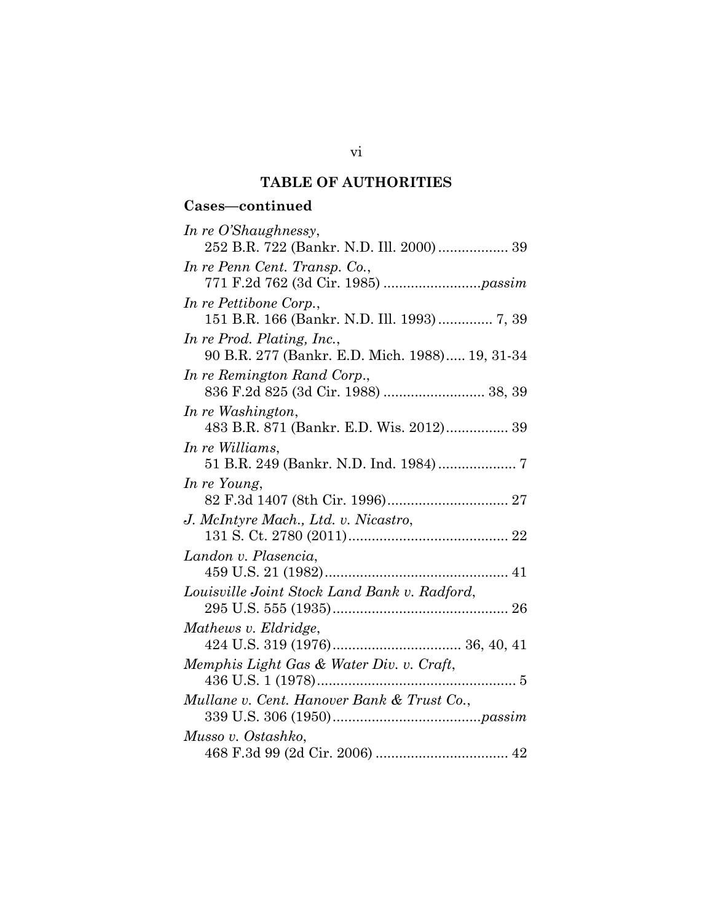## **Cases—continued**

| In re O'Shaughnessy,                           |
|------------------------------------------------|
| 252 B.R. 722 (Bankr. N.D. Ill. 2000)  39       |
| In re Penn Cent. Transp. Co.,                  |
|                                                |
| In re Pettibone Corp.,                         |
| 151 B.R. 166 (Bankr. N.D. Ill. 1993)  7, 39    |
| In re Prod. Plating, Inc.,                     |
| 90 B.R. 277 (Bankr. E.D. Mich. 1988) 19, 31-34 |
| In re Remington Rand Corp.,                    |
|                                                |
| In re Washington,                              |
| 483 B.R. 871 (Bankr. E.D. Wis. 2012) 39        |
| In re Williams,                                |
|                                                |
| In re Young,                                   |
|                                                |
| J. McIntyre Mach., Ltd. v. Nicastro,           |
|                                                |
| Landon v. Plasencia,                           |
|                                                |
| Louisville Joint Stock Land Bank v. Radford,   |
|                                                |
| Mathews v. Eldridge,                           |
|                                                |
| Memphis Light Gas & Water Div. v. Craft,       |
|                                                |
| Mullane v. Cent. Hanover Bank & Trust Co.,     |
|                                                |
| Musso v. Ostashko,                             |
|                                                |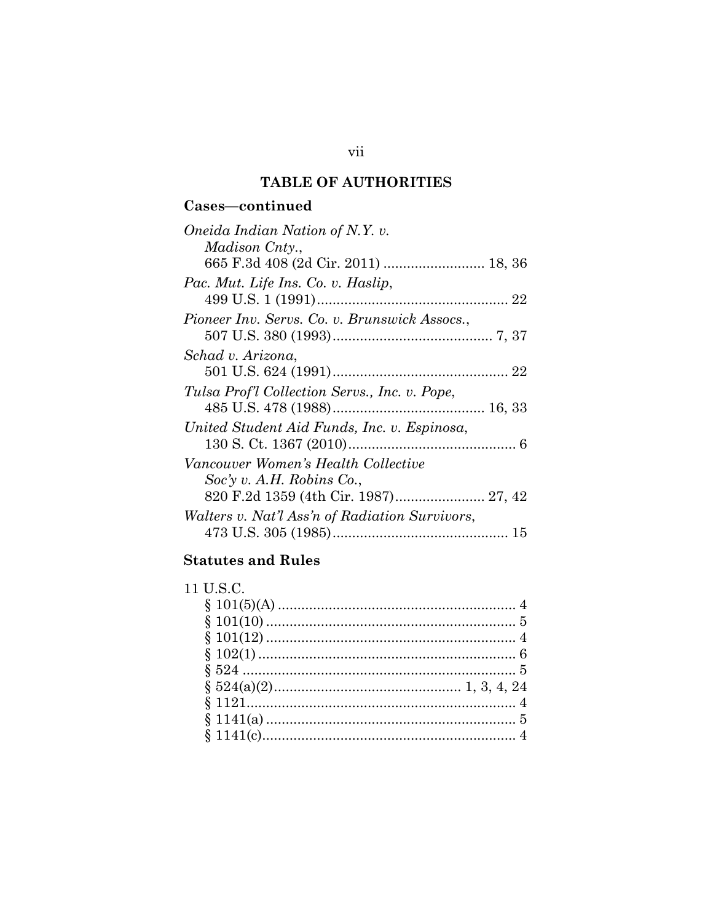# **Cases—continued**

| Oneida Indian Nation of N.Y. v.                       |
|-------------------------------------------------------|
| <i>Madison Cnty.,</i>                                 |
|                                                       |
| Pac. Mut. Life Ins. Co. v. Haslip,                    |
|                                                       |
| Pioneer Inv. Servs. Co. v. Brunswick Assocs.,         |
|                                                       |
| Schad v. Arizona,                                     |
|                                                       |
| Tulsa Prof'l Collection Servs., Inc. v. Pope,         |
|                                                       |
| United Student Aid Funds, Inc. v. Espinosa,           |
|                                                       |
| Vancouver Women's Health Collective                   |
| $Soc'y$ v. A.H. Robins Co.,                           |
|                                                       |
| <i>Walters v. Nat'l Ass'n of Radiation Survivors,</i> |
|                                                       |

# **Statutes and Rules**

| 11 U S C |  |
|----------|--|
|          |  |
|          |  |
|          |  |
|          |  |
|          |  |
|          |  |
|          |  |
|          |  |
|          |  |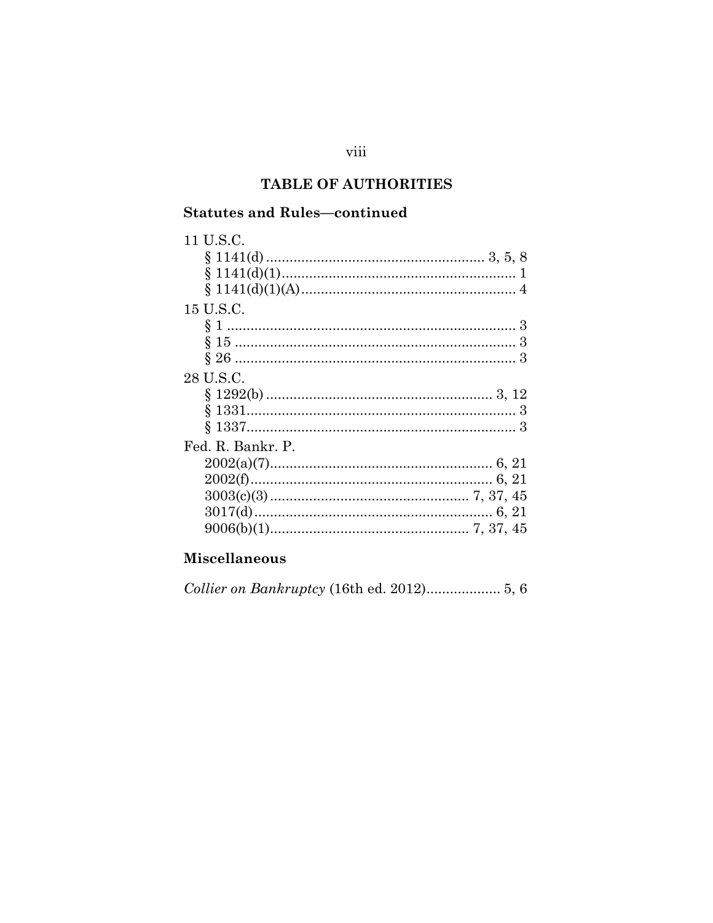## **Statutes and Rules-continued**

| 11 U.S.C.         |  |
|-------------------|--|
|                   |  |
|                   |  |
|                   |  |
| 15 U.S.C.         |  |
|                   |  |
|                   |  |
|                   |  |
| 28 U.S.C.         |  |
|                   |  |
|                   |  |
|                   |  |
| Fed. R. Bankr. P. |  |
|                   |  |
|                   |  |
|                   |  |
|                   |  |
|                   |  |
|                   |  |

# **Miscellaneous**

Collier on Bankruptcy (16th ed. 2012).................... 5, 6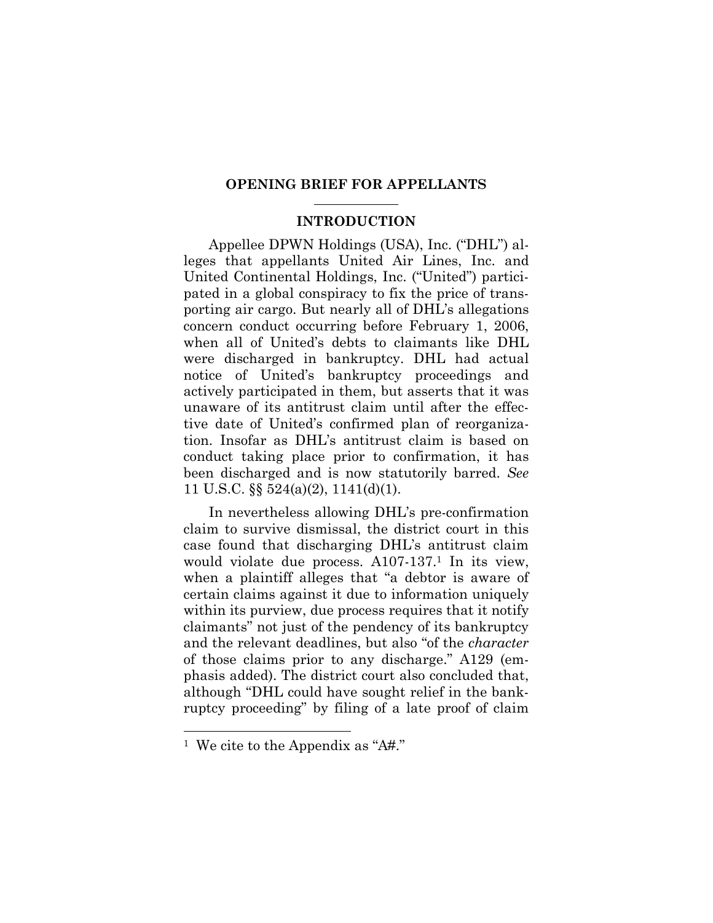#### **OPENING BRIEF FOR APPELLANTS**

#### **INTRODUCTION**

Appellee DPWN Holdings (USA), Inc. ("DHL") alleges that appellants United Air Lines, Inc. and United Continental Holdings, Inc. ("United") participated in a global conspiracy to fix the price of transporting air cargo. But nearly all of DHL's allegations concern conduct occurring before February 1, 2006, when all of United's debts to claimants like DHL were discharged in bankruptcy. DHL had actual notice of United's bankruptcy proceedings and actively participated in them, but asserts that it was unaware of its antitrust claim until after the effective date of United's confirmed plan of reorganization. Insofar as DHL's antitrust claim is based on conduct taking place prior to confirmation, it has been discharged and is now statutorily barred. *See* 11 U.S.C. §§ 524(a)(2), 1141(d)(1).

In nevertheless allowing DHL's pre-confirmation claim to survive dismissal, the district court in this case found that discharging DHL's antitrust claim would violate due process. A107-137.<sup>1</sup> In its view, when a plaintiff alleges that "a debtor is aware of certain claims against it due to information uniquely within its purview, due process requires that it notify claimants" not just of the pendency of its bankruptcy and the relevant deadlines, but also "of the *character* of those claims prior to any discharge." A129 (emphasis added). The district court also concluded that, although "DHL could have sought relief in the bankruptcy proceeding" by filing of a late proof of claim

<sup>1</sup> We cite to the Appendix as "A#."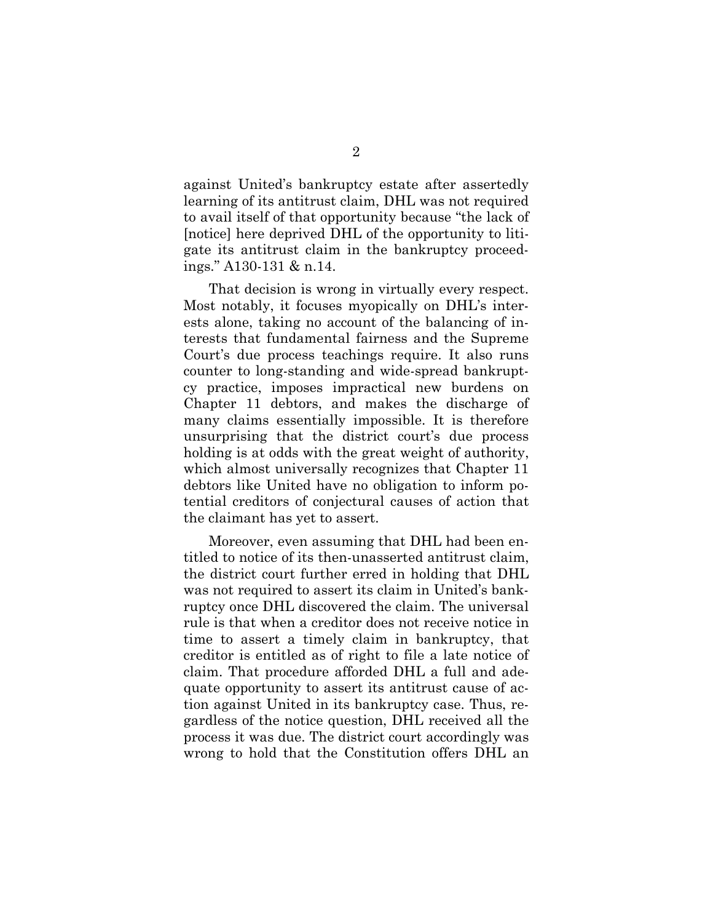against United's bankruptcy estate after assertedly learning of its antitrust claim, DHL was not required to avail itself of that opportunity because "the lack of [notice] here deprived DHL of the opportunity to litigate its antitrust claim in the bankruptcy proceedings." A130-131 & n.14.

That decision is wrong in virtually every respect. Most notably, it focuses myopically on DHL's interests alone, taking no account of the balancing of interests that fundamental fairness and the Supreme Court's due process teachings require. It also runs counter to long-standing and wide-spread bankruptcy practice, imposes impractical new burdens on Chapter 11 debtors, and makes the discharge of many claims essentially impossible. It is therefore unsurprising that the district court's due process holding is at odds with the great weight of authority, which almost universally recognizes that Chapter 11 debtors like United have no obligation to inform potential creditors of conjectural causes of action that the claimant has yet to assert.

Moreover, even assuming that DHL had been entitled to notice of its then-unasserted antitrust claim, the district court further erred in holding that DHL was not required to assert its claim in United's bankruptcy once DHL discovered the claim. The universal rule is that when a creditor does not receive notice in time to assert a timely claim in bankruptcy, that creditor is entitled as of right to file a late notice of claim. That procedure afforded DHL a full and adequate opportunity to assert its antitrust cause of action against United in its bankruptcy case. Thus, regardless of the notice question, DHL received all the process it was due. The district court accordingly was wrong to hold that the Constitution offers DHL an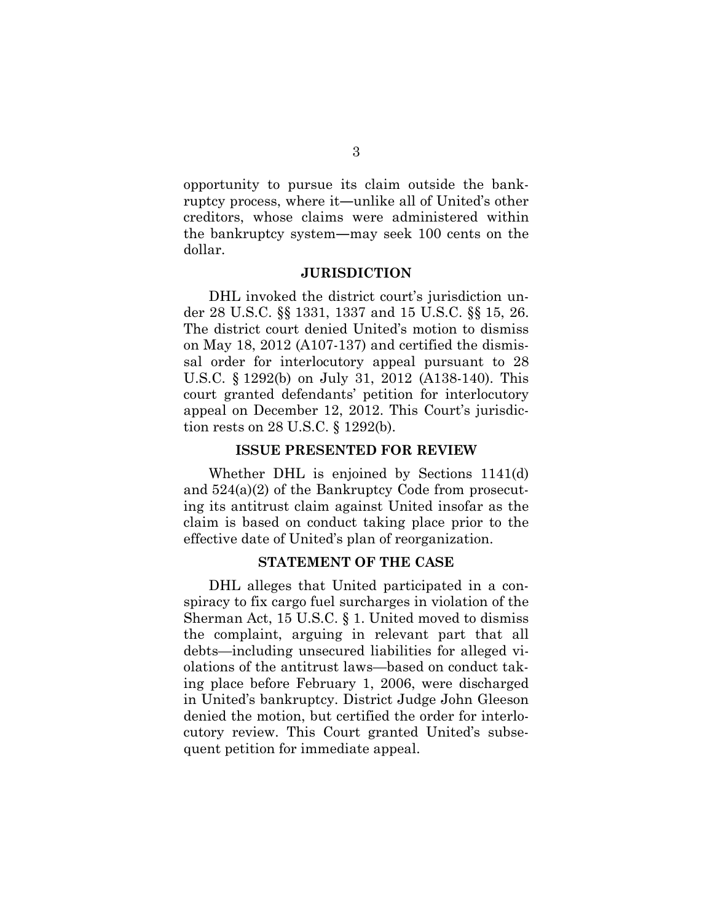opportunity to pursue its claim outside the bankruptcy process, where it―unlike all of United's other creditors, whose claims were administered within the bankruptcy system―may seek 100 cents on the dollar.

#### **JURISDICTION**

DHL invoked the district court's jurisdiction under 28 U.S.C. §§ 1331, 1337 and 15 U.S.C. §§ 15, 26. The district court denied United's motion to dismiss on May 18, 2012 (A107-137) and certified the dismissal order for interlocutory appeal pursuant to 28 U.S.C. § 1292(b) on July 31, 2012 (A138-140). This court granted defendants' petition for interlocutory appeal on December 12, 2012. This Court's jurisdiction rests on 28 U.S.C. § 1292(b).

#### **ISSUE PRESENTED FOR REVIEW**

Whether DHL is enjoined by Sections 1141(d) and 524(a)(2) of the Bankruptcy Code from prosecuting its antitrust claim against United insofar as the claim is based on conduct taking place prior to the effective date of United's plan of reorganization.

#### **STATEMENT OF THE CASE**

DHL alleges that United participated in a conspiracy to fix cargo fuel surcharges in violation of the Sherman Act, 15 U.S.C. § 1. United moved to dismiss the complaint, arguing in relevant part that all debts—including unsecured liabilities for alleged violations of the antitrust laws—based on conduct taking place before February 1, 2006, were discharged in United's bankruptcy. District Judge John Gleeson denied the motion, but certified the order for interlocutory review. This Court granted United's subsequent petition for immediate appeal.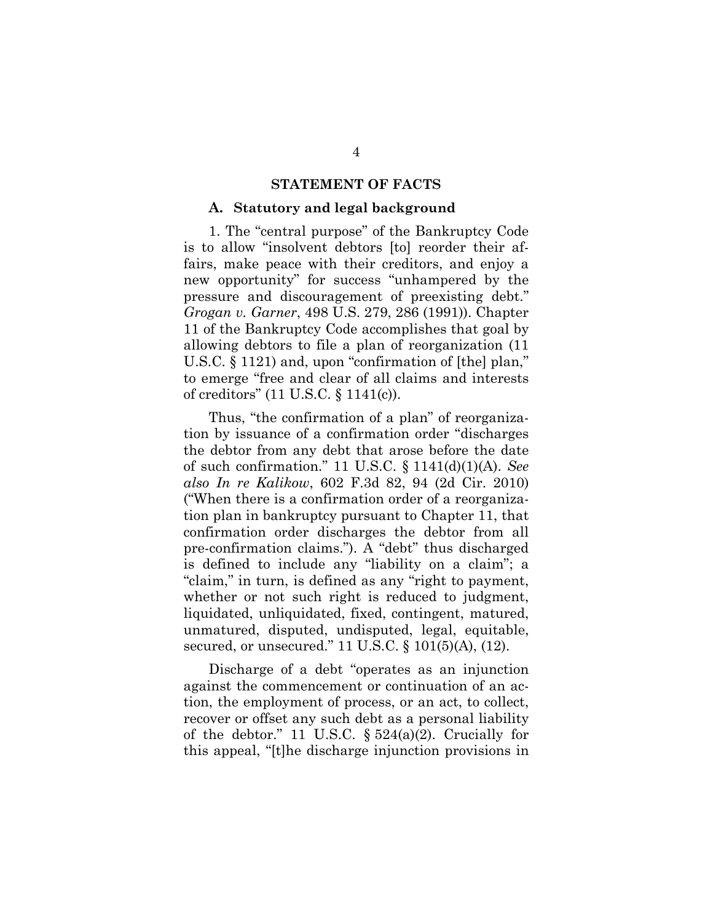#### **STATEMENT OF FACTS**

#### **A. Statutory and legal background**

1. The "central purpose" of the Bankruptcy Code is to allow "insolvent debtors [to] reorder their affairs, make peace with their creditors, and enjoy a new opportunity" for success "unhampered by the pressure and discouragement of preexisting debt." *Grogan v. Garner*, 498 U.S. 279, 286 (1991)). Chapter 11 of the Bankruptcy Code accomplishes that goal by allowing debtors to file a plan of reorganization (11 U.S.C. § 1121) and, upon "confirmation of [the] plan," to emerge "free and clear of all claims and interests of creditors" (11 U.S.C. § 1141(c)).

Thus, "the confirmation of a plan" of reorganization by issuance of a confirmation order "discharges the debtor from any debt that arose before the date of such confirmation." 11 U.S.C. § 1141(d)(1)(A). *See also In re Kalikow*, 602 F.3d 82, 94 (2d Cir. 2010) ("When there is a confirmation order of a reorganization plan in bankruptcy pursuant to Chapter 11, that confirmation order discharges the debtor from all pre-confirmation claims."). A "debt" thus discharged is defined to include any "liability on a claim"; a "claim," in turn, is defined as any "right to payment, whether or not such right is reduced to judgment, liquidated, unliquidated, fixed, contingent, matured, unmatured, disputed, undisputed, legal, equitable, secured, or unsecured." 11 U.S.C. § 101(5)(A), (12).

Discharge of a debt "operates as an injunction against the commencement or continuation of an action, the employment of process, or an act, to collect, recover or offset any such debt as a personal liability of the debtor." 11 U.S.C.  $\S 524(a)(2)$ . Crucially for this appeal, "[t]he discharge injunction provisions in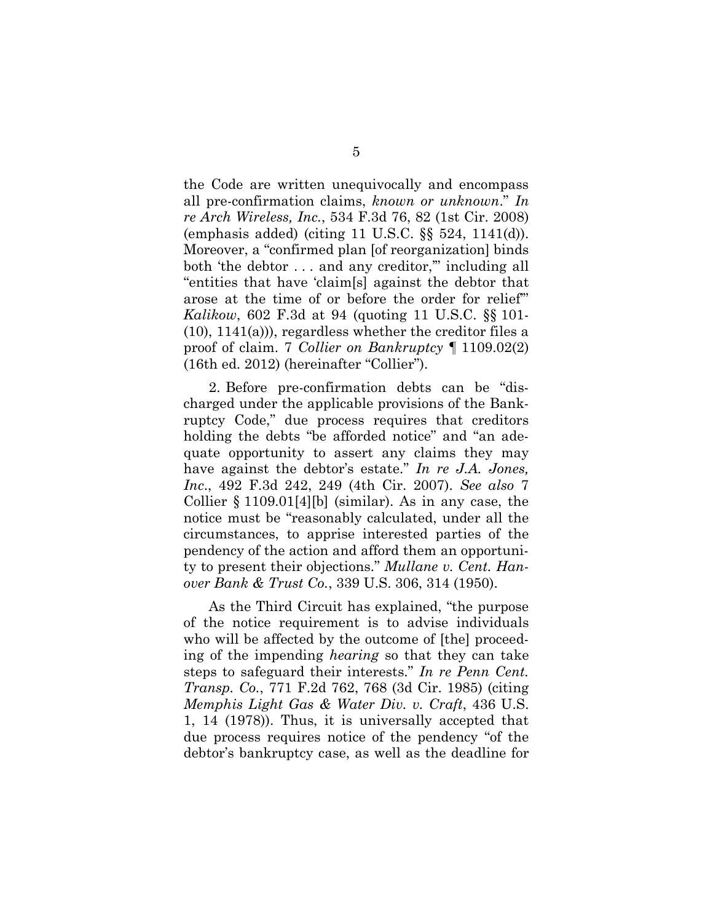the Code are written unequivocally and encompass all pre-confirmation claims, *known or unknown*." *In re Arch Wireless, Inc.*, 534 F.3d 76, 82 (1st Cir. 2008) (emphasis added) (citing 11 U.S.C. §§ 524, 1141(d)). Moreover, a "confirmed plan [of reorganization] binds both 'the debtor . . . and any creditor,'" including all "entities that have 'claim[s] against the debtor that arose at the time of or before the order for relief'" *Kalikow*, 602 F.3d at 94 (quoting 11 U.S.C. §§ 101- (10), 1141(a))), regardless whether the creditor files a proof of claim. 7 *Collier on Bankruptcy* ¶ 1109.02(2) (16th ed. 2012) (hereinafter "Collier").

2. Before pre-confirmation debts can be "discharged under the applicable provisions of the Bankruptcy Code," due process requires that creditors holding the debts "be afforded notice" and "an adequate opportunity to assert any claims they may have against the debtor's estate." *In re J.A. Jones, Inc*., 492 F.3d 242, 249 (4th Cir. 2007). *See also* 7 Collier § 1109.01[4][b] (similar). As in any case, the notice must be "reasonably calculated, under all the circumstances, to apprise interested parties of the pendency of the action and afford them an opportunity to present their objections." *Mullane v. Cent. Hanover Bank & Trust Co.*, 339 U.S. 306, 314 (1950).

As the Third Circuit has explained, "the purpose of the notice requirement is to advise individuals who will be affected by the outcome of [the] proceeding of the impending *hearing* so that they can take steps to safeguard their interests." *In re Penn Cent. Transp. Co.*, 771 F.2d 762, 768 (3d Cir. 1985) (citing *Memphis Light Gas & Water Div. v. Craft*, 436 U.S. 1, 14 (1978)). Thus, it is universally accepted that due process requires notice of the pendency "of the debtor's bankruptcy case, as well as the deadline for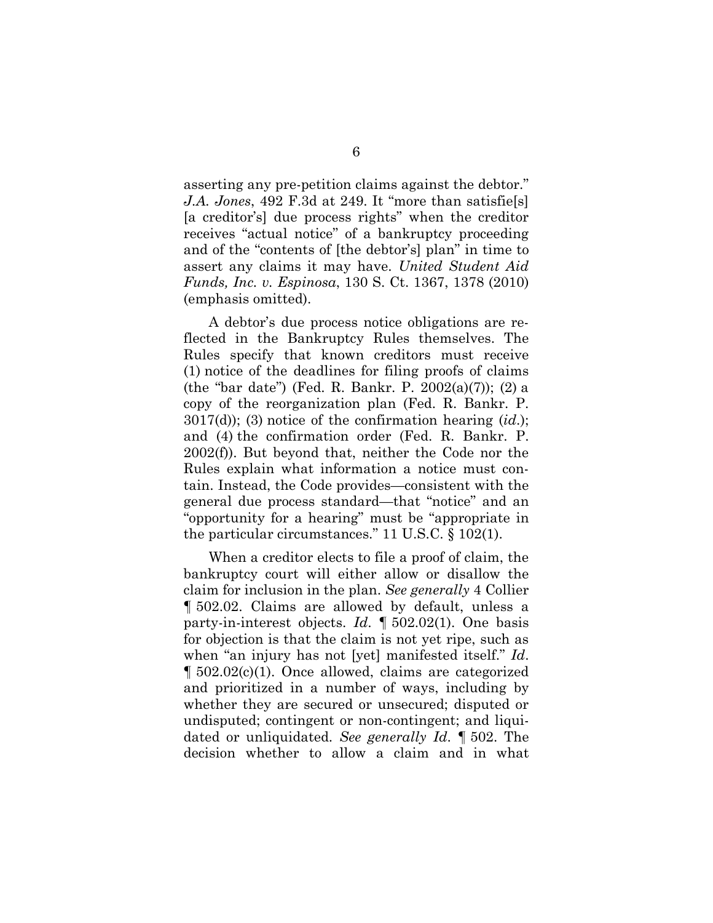asserting any pre-petition claims against the debtor." *J.A. Jones*, 492 F.3d at 249. It "more than satisfie[s] [a creditor's] due process rights" when the creditor receives "actual notice" of a bankruptcy proceeding and of the "contents of [the debtor's] plan" in time to assert any claims it may have. *United Student Aid Funds, Inc. v. Espinosa*, 130 S. Ct. 1367, 1378 (2010) (emphasis omitted).

A debtor's due process notice obligations are reflected in the Bankruptcy Rules themselves. The Rules specify that known creditors must receive (1) notice of the deadlines for filing proofs of claims (the "bar date") (Fed. R. Bankr. P. 2002(a)(7)); (2) a copy of the reorganization plan (Fed. R. Bankr. P. 3017(d)); (3) notice of the confirmation hearing (*id*.); and (4) the confirmation order (Fed. R. Bankr. P. 2002(f)). But beyond that, neither the Code nor the Rules explain what information a notice must contain. Instead, the Code provides—consistent with the general due process standard—that "notice" and an "opportunity for a hearing" must be "appropriate in the particular circumstances." 11 U.S.C. § 102(1).

When a creditor elects to file a proof of claim, the bankruptcy court will either allow or disallow the claim for inclusion in the plan. *See generally* 4 Collier ¶ 502.02. Claims are allowed by default, unless a party-in-interest objects. *Id*. ¶ 502.02(1). One basis for objection is that the claim is not yet ripe, such as when "an injury has not [yet] manifested itself." *Id*. ¶ 502.02(c)(1). Once allowed, claims are categorized and prioritized in a number of ways, including by whether they are secured or unsecured; disputed or undisputed; contingent or non-contingent; and liquidated or unliquidated. *See generally Id*. ¶ 502. The decision whether to allow a claim and in what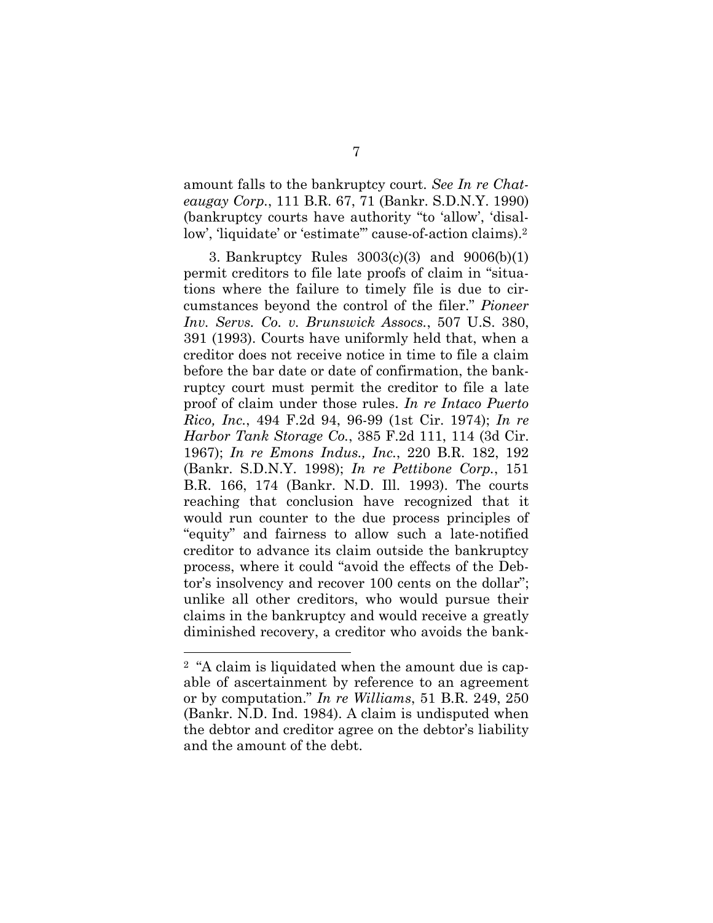amount falls to the bankruptcy court. *See In re Chateaugay Corp.*, 111 B.R. 67, 71 (Bankr. S.D.N.Y. 1990) (bankruptcy courts have authority "to 'allow', 'disallow', 'liquidate' or 'estimate'" cause-of-action claims).<sup>2</sup>

3. Bankruptcy Rules 3003(c)(3) and 9006(b)(1) permit creditors to file late proofs of claim in "situations where the failure to timely file is due to circumstances beyond the control of the filer." *Pioneer Inv. Servs. Co. v. Brunswick Assocs.*, 507 U.S. 380, 391 (1993). Courts have uniformly held that, when a creditor does not receive notice in time to file a claim before the bar date or date of confirmation, the bankruptcy court must permit the creditor to file a late proof of claim under those rules. *In re Intaco Puerto Rico, Inc.*, 494 F.2d 94, 96-99 (1st Cir. 1974); *In re Harbor Tank Storage Co.*, 385 F.2d 111, 114 (3d Cir. 1967); *In re Emons Indus., Inc.*, 220 B.R. 182, 192 (Bankr. S.D.N.Y. 1998); *In re Pettibone Corp.*, 151 B.R. 166, 174 (Bankr. N.D. Ill. 1993). The courts reaching that conclusion have recognized that it would run counter to the due process principles of "equity" and fairness to allow such a late-notified creditor to advance its claim outside the bankruptcy process, where it could "avoid the effects of the Debtor's insolvency and recover 100 cents on the dollar"; unlike all other creditors, who would pursue their claims in the bankruptcy and would receive a greatly diminished recovery, a creditor who avoids the bank-

<sup>2</sup> "A claim is liquidated when the amount due is capable of ascertainment by reference to an agreement or by computation." *In re Williams*, 51 B.R. 249, 250 (Bankr. N.D. Ind. 1984). A claim is undisputed when the debtor and creditor agree on the debtor's liability and the amount of the debt.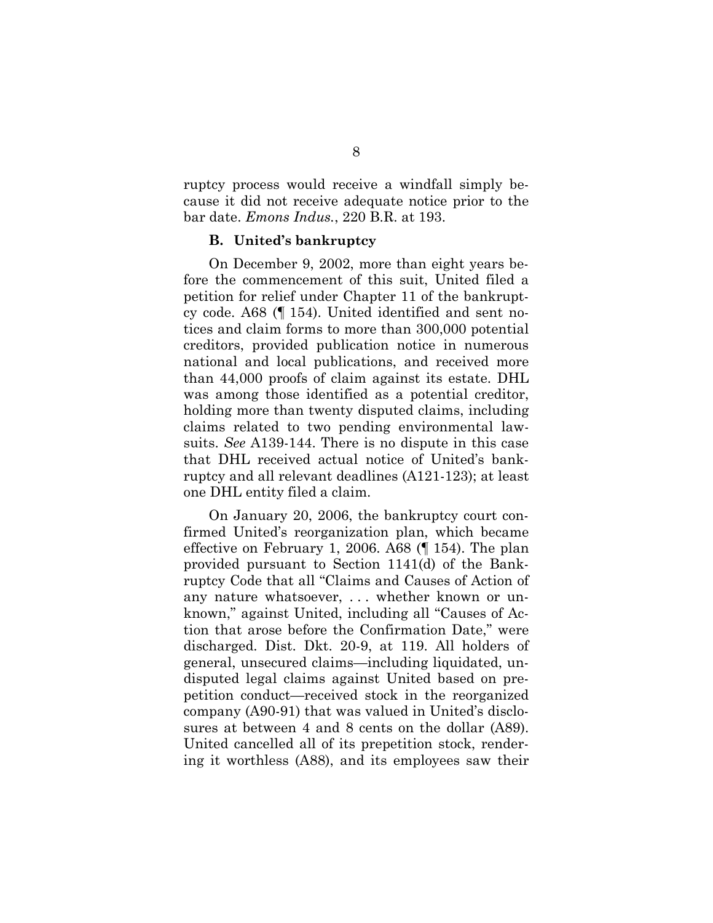ruptcy process would receive a windfall simply because it did not receive adequate notice prior to the bar date. *Emons Indus.*, 220 B.R. at 193.

#### **B. United's bankruptcy**

On December 9, 2002, more than eight years before the commencement of this suit, United filed a petition for relief under Chapter 11 of the bankruptcy code. A68 (¶ 154). United identified and sent notices and claim forms to more than 300,000 potential creditors, provided publication notice in numerous national and local publications, and received more than 44,000 proofs of claim against its estate. DHL was among those identified as a potential creditor, holding more than twenty disputed claims, including claims related to two pending environmental lawsuits. *See* A139-144. There is no dispute in this case that DHL received actual notice of United's bankruptcy and all relevant deadlines (A121-123); at least one DHL entity filed a claim.

On January 20, 2006, the bankruptcy court confirmed United's reorganization plan, which became effective on February 1, 2006. A68 (¶ 154). The plan provided pursuant to Section 1141(d) of the Bankruptcy Code that all "Claims and Causes of Action of any nature whatsoever, . . . whether known or unknown," against United, including all "Causes of Action that arose before the Confirmation Date," were discharged. Dist. Dkt. 20-9, at 119. All holders of general, unsecured claims—including liquidated, undisputed legal claims against United based on prepetition conduct—received stock in the reorganized company (A90-91) that was valued in United's disclosures at between 4 and 8 cents on the dollar (A89). United cancelled all of its prepetition stock, rendering it worthless (A88), and its employees saw their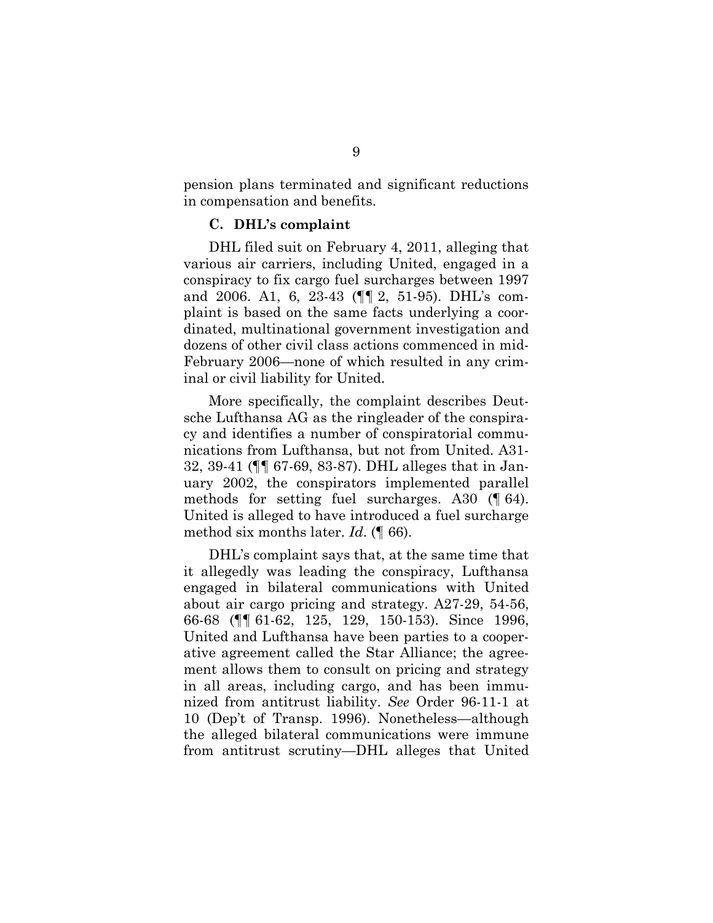pension plans terminated and significant reductions in compensation and benefits.

#### **C. DHL's complaint**

DHL filed suit on February 4, 2011, alleging that various air carriers, including United, engaged in a conspiracy to fix cargo fuel surcharges between 1997 and 2006. A1, 6, 23-43 (¶¶ 2, 51-95). DHL's complaint is based on the same facts underlying a coordinated, multinational government investigation and dozens of other civil class actions commenced in mid-February 2006—none of which resulted in any criminal or civil liability for United.

More specifically, the complaint describes Deutsche Lufthansa AG as the ringleader of the conspiracy and identifies a number of conspiratorial communications from Lufthansa, but not from United. A31- 32, 39-41 (¶¶ 67-69, 83-87). DHL alleges that in January 2002, the conspirators implemented parallel methods for setting fuel surcharges. A30 (¶ 64). United is alleged to have introduced a fuel surcharge method six months later. *Id*. (¶ 66).

DHL's complaint says that, at the same time that it allegedly was leading the conspiracy, Lufthansa engaged in bilateral communications with United about air cargo pricing and strategy. A27-29, 54-56, 66-68 (¶¶ 61-62, 125, 129, 150-153). Since 1996, United and Lufthansa have been parties to a cooperative agreement called the Star Alliance; the agreement allows them to consult on pricing and strategy in all areas, including cargo, and has been immunized from antitrust liability. *See* Order 96-11-1 at 10 (Dep't of Transp. 1996). Nonetheless—although the alleged bilateral communications were immune from antitrust scrutiny—DHL alleges that United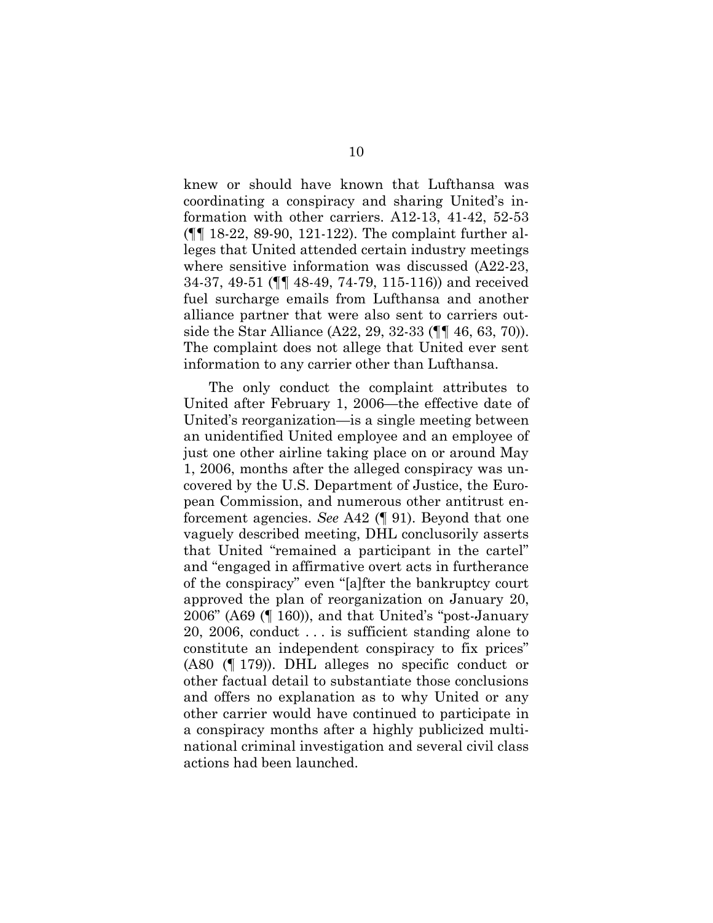knew or should have known that Lufthansa was coordinating a conspiracy and sharing United's information with other carriers. A12-13, 41-42, 52-53 (¶¶ 18-22, 89-90, 121-122). The complaint further alleges that United attended certain industry meetings where sensitive information was discussed (A22-23, 34-37, 49-51 (¶¶ 48-49, 74-79, 115-116)) and received fuel surcharge emails from Lufthansa and another alliance partner that were also sent to carriers outside the Star Alliance (A22, 29, 32-33 (¶¶ 46, 63, 70)). The complaint does not allege that United ever sent information to any carrier other than Lufthansa.

The only conduct the complaint attributes to United after February 1, 2006—the effective date of United's reorganization—is a single meeting between an unidentified United employee and an employee of just one other airline taking place on or around May 1, 2006, months after the alleged conspiracy was uncovered by the U.S. Department of Justice, the European Commission, and numerous other antitrust enforcement agencies. *See* A42 (¶ 91). Beyond that one vaguely described meeting, DHL conclusorily asserts that United "remained a participant in the cartel" and "engaged in affirmative overt acts in furtherance of the conspiracy" even "[a]fter the bankruptcy court approved the plan of reorganization on January 20, 2006" (A69 (¶ 160)), and that United's "post-January 20, 2006, conduct . . . is sufficient standing alone to constitute an independent conspiracy to fix prices" (A80 (¶ 179)). DHL alleges no specific conduct or other factual detail to substantiate those conclusions and offers no explanation as to why United or any other carrier would have continued to participate in a conspiracy months after a highly publicized multinational criminal investigation and several civil class actions had been launched.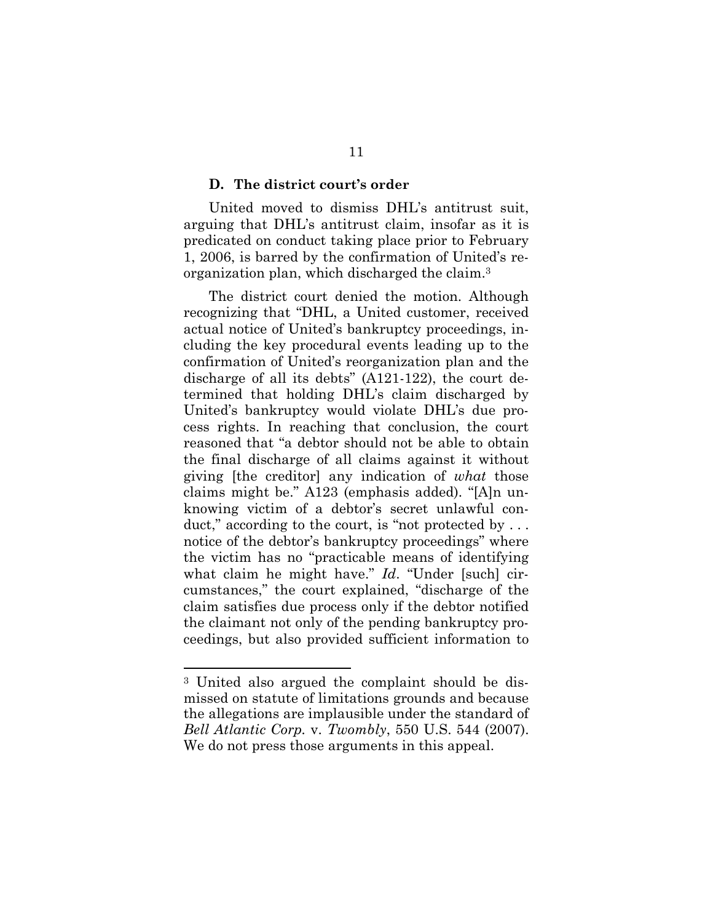#### **D. The district court's order**

United moved to dismiss DHL's antitrust suit, arguing that DHL's antitrust claim, insofar as it is predicated on conduct taking place prior to February 1, 2006, is barred by the confirmation of United's reorganization plan, which discharged the claim.<sup>3</sup>

The district court denied the motion. Although recognizing that "DHL, a United customer, received actual notice of United's bankruptcy proceedings, including the key procedural events leading up to the confirmation of United's reorganization plan and the discharge of all its debts" (A121-122), the court determined that holding DHL's claim discharged by United's bankruptcy would violate DHL's due process rights. In reaching that conclusion, the court reasoned that "a debtor should not be able to obtain the final discharge of all claims against it without giving [the creditor] any indication of *what* those claims might be." A123 (emphasis added). "[A]n unknowing victim of a debtor's secret unlawful conduct," according to the court, is "not protected by ... notice of the debtor's bankruptcy proceedings" where the victim has no "practicable means of identifying what claim he might have." *Id*. "Under [such] circumstances," the court explained, "discharge of the claim satisfies due process only if the debtor notified the claimant not only of the pending bankruptcy proceedings, but also provided sufficient information to

<sup>3</sup> United also argued the complaint should be dismissed on statute of limitations grounds and because the allegations are implausible under the standard of *Bell Atlantic Corp.* v. *Twombly*, 550 U.S. 544 (2007). We do not press those arguments in this appeal.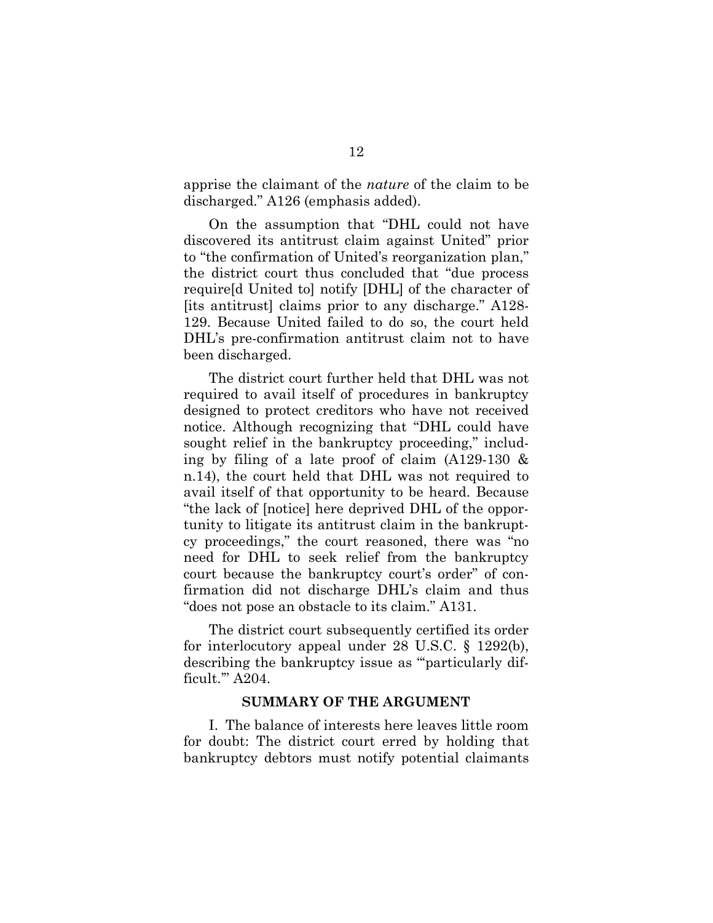apprise the claimant of the *nature* of the claim to be discharged." A126 (emphasis added).

On the assumption that "DHL could not have discovered its antitrust claim against United" prior to "the confirmation of United's reorganization plan," the district court thus concluded that "due process require[d United to] notify [DHL] of the character of [its antitrust] claims prior to any discharge." A128- 129. Because United failed to do so, the court held DHL's pre-confirmation antitrust claim not to have been discharged.

The district court further held that DHL was not required to avail itself of procedures in bankruptcy designed to protect creditors who have not received notice. Although recognizing that "DHL could have sought relief in the bankruptcy proceeding," including by filing of a late proof of claim (A129-130 & n.14), the court held that DHL was not required to avail itself of that opportunity to be heard. Because "the lack of [notice] here deprived DHL of the opportunity to litigate its antitrust claim in the bankruptcy proceedings," the court reasoned, there was "no need for DHL to seek relief from the bankruptcy court because the bankruptcy court's order" of confirmation did not discharge DHL's claim and thus "does not pose an obstacle to its claim." A131.

The district court subsequently certified its order for interlocutory appeal under 28 U.S.C. § 1292(b), describing the bankruptcy issue as "'particularly difficult.'" A204.

#### **SUMMARY OF THE ARGUMENT**

I. The balance of interests here leaves little room for doubt: The district court erred by holding that bankruptcy debtors must notify potential claimants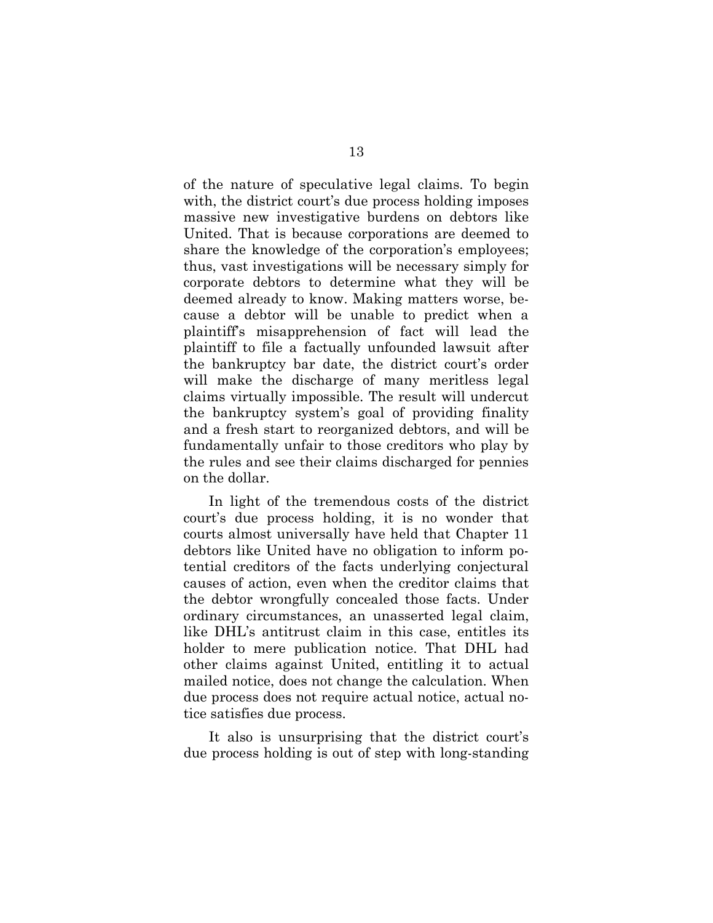of the nature of speculative legal claims. To begin with, the district court's due process holding imposes massive new investigative burdens on debtors like United. That is because corporations are deemed to share the knowledge of the corporation's employees; thus, vast investigations will be necessary simply for corporate debtors to determine what they will be deemed already to know. Making matters worse, because a debtor will be unable to predict when a plaintiff's misapprehension of fact will lead the plaintiff to file a factually unfounded lawsuit after the bankruptcy bar date, the district court's order will make the discharge of many meritless legal claims virtually impossible. The result will undercut the bankruptcy system's goal of providing finality and a fresh start to reorganized debtors, and will be fundamentally unfair to those creditors who play by the rules and see their claims discharged for pennies on the dollar.

In light of the tremendous costs of the district court's due process holding, it is no wonder that courts almost universally have held that Chapter 11 debtors like United have no obligation to inform potential creditors of the facts underlying conjectural causes of action, even when the creditor claims that the debtor wrongfully concealed those facts. Under ordinary circumstances, an unasserted legal claim, like DHL's antitrust claim in this case, entitles its holder to mere publication notice. That DHL had other claims against United, entitling it to actual mailed notice, does not change the calculation. When due process does not require actual notice, actual notice satisfies due process.

It also is unsurprising that the district court's due process holding is out of step with long-standing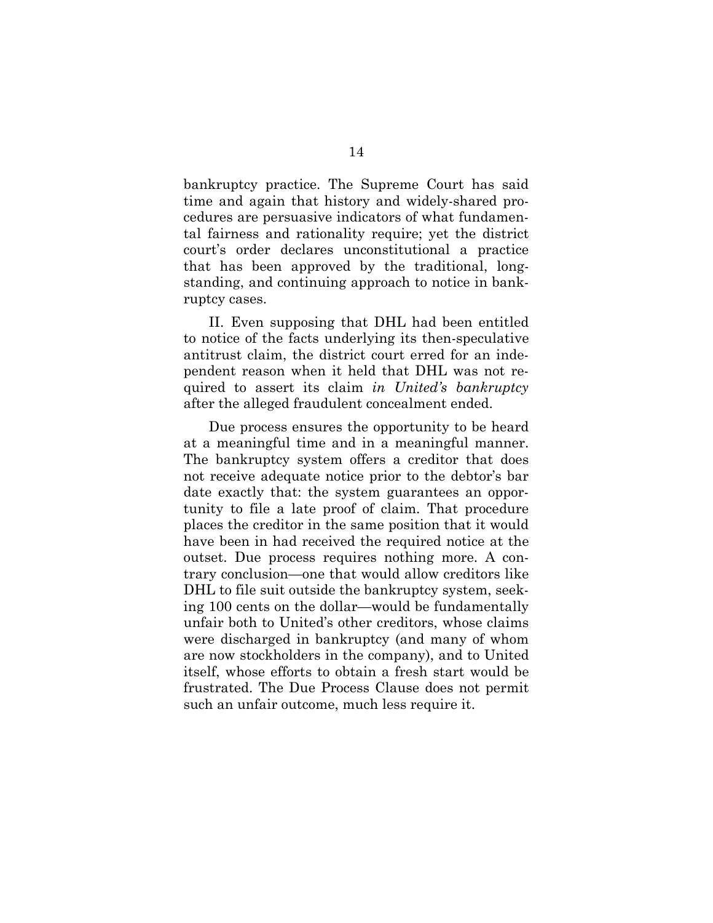bankruptcy practice. The Supreme Court has said time and again that history and widely-shared procedures are persuasive indicators of what fundamental fairness and rationality require; yet the district court's order declares unconstitutional a practice that has been approved by the traditional, longstanding, and continuing approach to notice in bankruptcy cases.

II. Even supposing that DHL had been entitled to notice of the facts underlying its then-speculative antitrust claim, the district court erred for an independent reason when it held that DHL was not required to assert its claim *in United's bankruptcy* after the alleged fraudulent concealment ended.

Due process ensures the opportunity to be heard at a meaningful time and in a meaningful manner. The bankruptcy system offers a creditor that does not receive adequate notice prior to the debtor's bar date exactly that: the system guarantees an opportunity to file a late proof of claim. That procedure places the creditor in the same position that it would have been in had received the required notice at the outset. Due process requires nothing more. A contrary conclusion—one that would allow creditors like DHL to file suit outside the bankruptcy system, seeking 100 cents on the dollar—would be fundamentally unfair both to United's other creditors, whose claims were discharged in bankruptcy (and many of whom are now stockholders in the company), and to United itself, whose efforts to obtain a fresh start would be frustrated. The Due Process Clause does not permit such an unfair outcome, much less require it.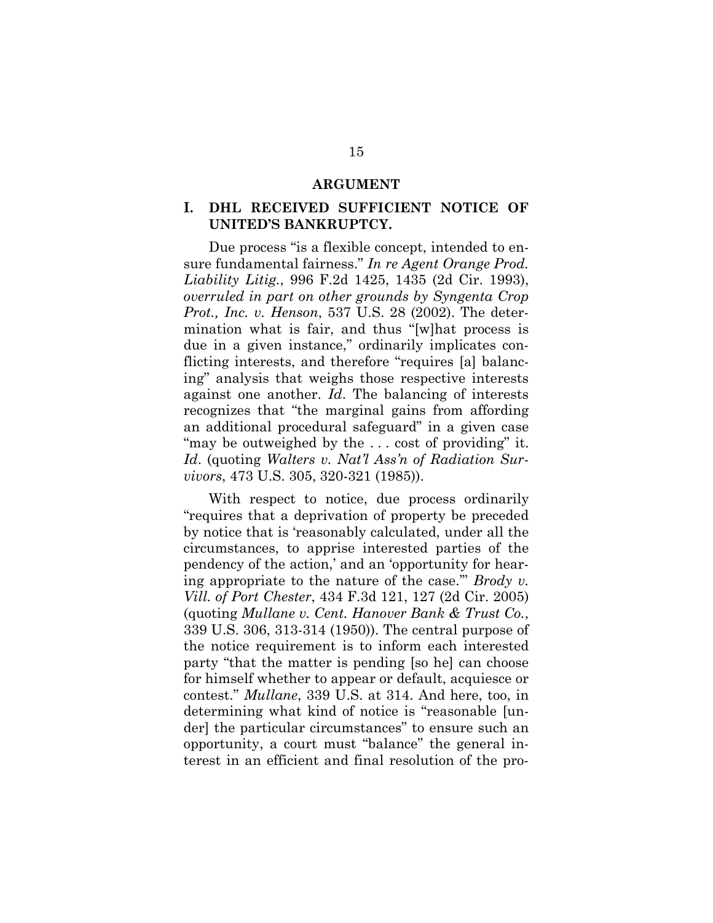#### **ARGUMENT**

## **I. DHL RECEIVED SUFFICIENT NOTICE OF UNITED'S BANKRUPTCY.**

Due process "is a flexible concept, intended to ensure fundamental fairness." *In re Agent Orange Prod. Liability Litig.*, 996 F.2d 1425, 1435 (2d Cir. 1993), *overruled in part on other grounds by Syngenta Crop Prot., Inc. v. Henson*, 537 U.S. 28 (2002). The determination what is fair, and thus "[w]hat process is due in a given instance," ordinarily implicates conflicting interests, and therefore "requires [a] balancing" analysis that weighs those respective interests against one another. *Id*. The balancing of interests recognizes that "the marginal gains from affording an additional procedural safeguard" in a given case "may be outweighed by the ... cost of providing" it. *Id*. (quoting *Walters v. Nat'l Ass'n of Radiation Survivors*, 473 U.S. 305, 320-321 (1985)).

With respect to notice, due process ordinarily "requires that a deprivation of property be preceded by notice that is 'reasonably calculated, under all the circumstances, to apprise interested parties of the pendency of the action,' and an 'opportunity for hearing appropriate to the nature of the case.'" *Brody v. Vill. of Port Chester*, 434 F.3d 121, 127 (2d Cir. 2005) (quoting *Mullane v. Cent. Hanover Bank & Trust Co.*, 339 U.S. 306, 313-314 (1950)). The central purpose of the notice requirement is to inform each interested party "that the matter is pending [so he] can choose for himself whether to appear or default, acquiesce or contest." *Mullane*, 339 U.S. at 314. And here, too, in determining what kind of notice is "reasonable [under] the particular circumstances" to ensure such an opportunity, a court must "balance" the general interest in an efficient and final resolution of the pro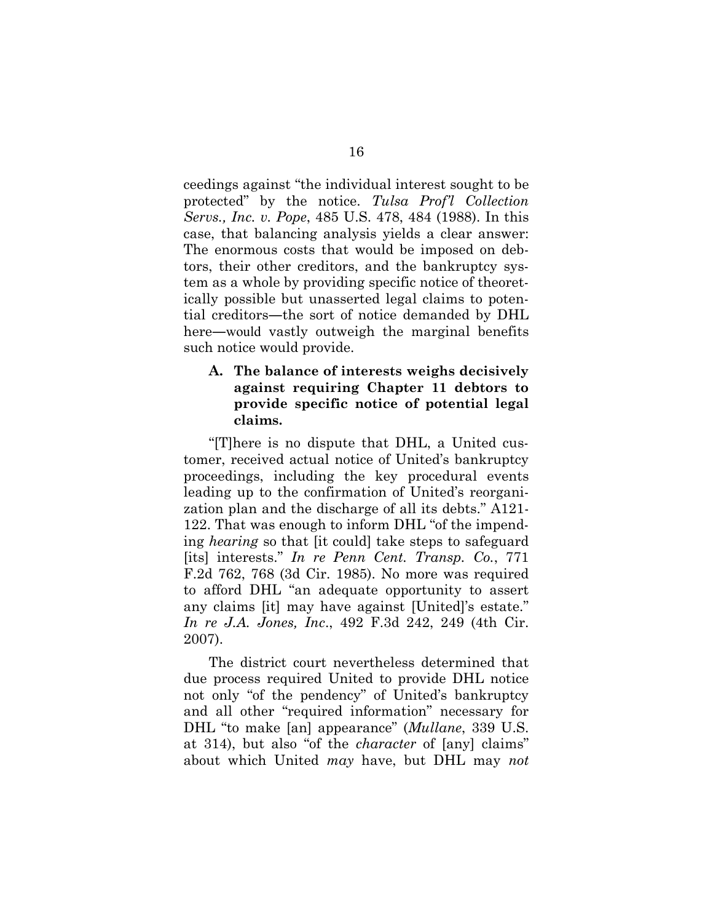ceedings against "the individual interest sought to be protected" by the notice. *Tulsa Prof'l Collection Servs., Inc. v. Pope*, 485 U.S. 478, 484 (1988). In this case, that balancing analysis yields a clear answer: The enormous costs that would be imposed on debtors, their other creditors, and the bankruptcy system as a whole by providing specific notice of theoretically possible but unasserted legal claims to potential creditors―the sort of notice demanded by DHL here—would vastly outweigh the marginal benefits such notice would provide.

## **A. The balance of interests weighs decisively against requiring Chapter 11 debtors to provide specific notice of potential legal claims.**

"[T]here is no dispute that DHL, a United customer, received actual notice of United's bankruptcy proceedings, including the key procedural events leading up to the confirmation of United's reorganization plan and the discharge of all its debts." A121- 122. That was enough to inform DHL "of the impending *hearing* so that [it could] take steps to safeguard [its] interests." *In re Penn Cent. Transp. Co.*, 771 F.2d 762, 768 (3d Cir. 1985). No more was required to afford DHL "an adequate opportunity to assert any claims [it] may have against [United]'s estate." *In re J.A. Jones, Inc*., 492 F.3d 242, 249 (4th Cir. 2007).

The district court nevertheless determined that due process required United to provide DHL notice not only "of the pendency" of United's bankruptcy and all other "required information" necessary for DHL "to make [an] appearance" (*Mullane*, 339 U.S. at 314), but also "of the *character* of [any] claims" about which United *may* have, but DHL may *not*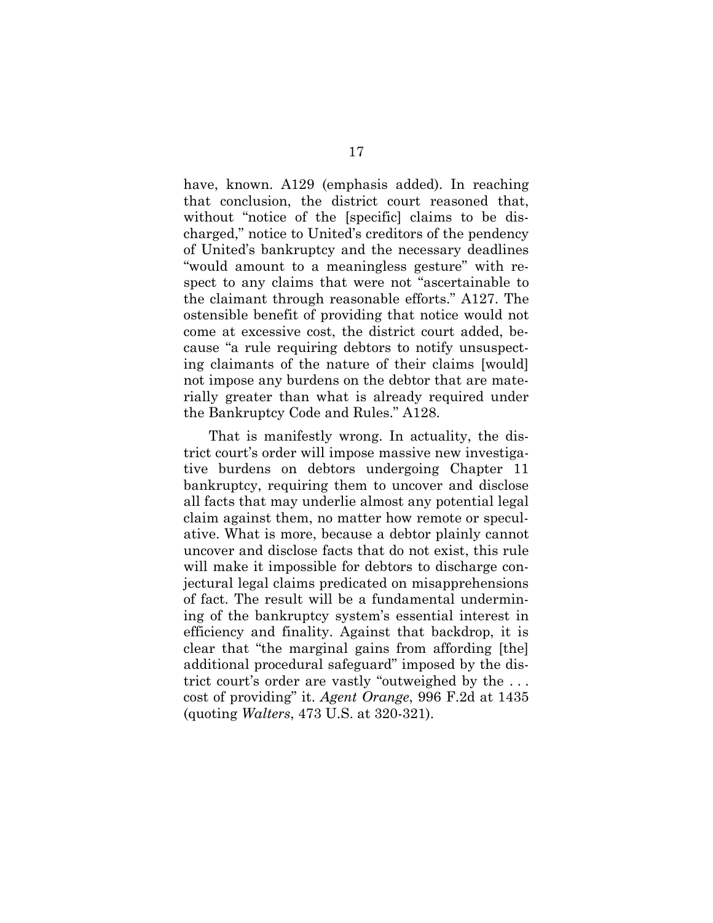have, known. A129 (emphasis added). In reaching that conclusion, the district court reasoned that, without "notice of the [specific] claims to be discharged," notice to United's creditors of the pendency of United's bankruptcy and the necessary deadlines "would amount to a meaningless gesture" with respect to any claims that were not "ascertainable to the claimant through reasonable efforts." A127. The ostensible benefit of providing that notice would not come at excessive cost, the district court added, because "a rule requiring debtors to notify unsuspecting claimants of the nature of their claims [would] not impose any burdens on the debtor that are materially greater than what is already required under the Bankruptcy Code and Rules." A128.

That is manifestly wrong. In actuality, the district court's order will impose massive new investigative burdens on debtors undergoing Chapter 11 bankruptcy, requiring them to uncover and disclose all facts that may underlie almost any potential legal claim against them, no matter how remote or speculative. What is more, because a debtor plainly cannot uncover and disclose facts that do not exist, this rule will make it impossible for debtors to discharge conjectural legal claims predicated on misapprehensions of fact. The result will be a fundamental undermining of the bankruptcy system's essential interest in efficiency and finality. Against that backdrop, it is clear that "the marginal gains from affording [the] additional procedural safeguard" imposed by the district court's order are vastly "outweighed by the . . . cost of providing" it. *Agent Orange*, 996 F.2d at 1435 (quoting *Walters*, 473 U.S. at 320-321).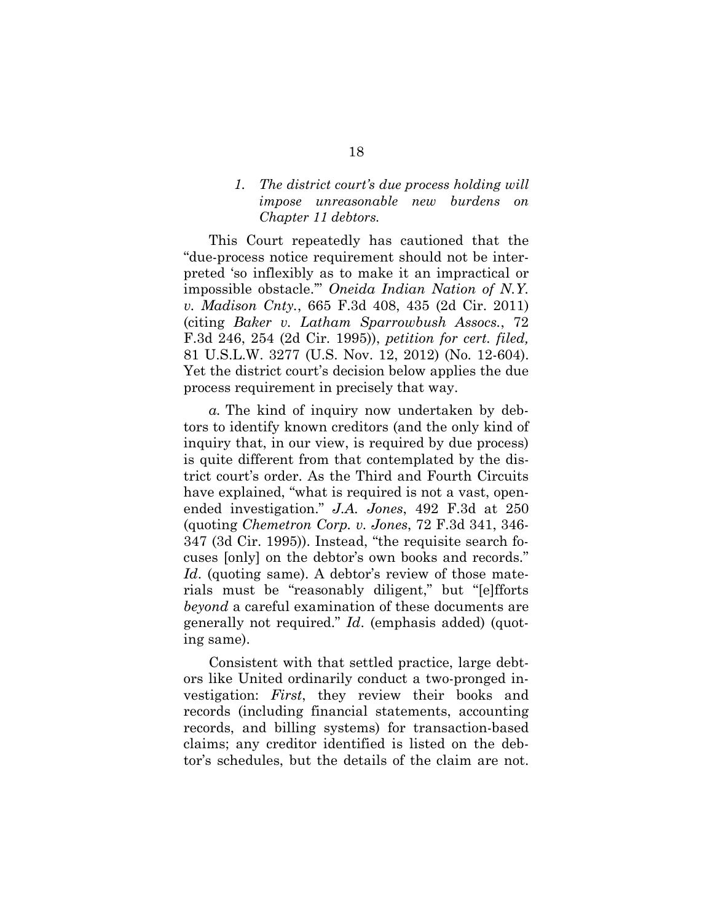## *1. The district court's due process holding will impose unreasonable new burdens on Chapter 11 debtors.*

This Court repeatedly has cautioned that the "due-process notice requirement should not be interpreted 'so inflexibly as to make it an impractical or impossible obstacle.'" *Oneida Indian Nation of N.Y. v. Madison Cnty.*, 665 F.3d 408, 435 (2d Cir. 2011) (citing *Baker v. Latham Sparrowbush Assocs.*, 72 F.3d 246, 254 (2d Cir. 1995)), *petition for cert. filed,* 81 U.S.L.W. 3277 (U.S. Nov. 12, 2012) (No. 12-604). Yet the district court's decision below applies the due process requirement in precisely that way.

*a.* The kind of inquiry now undertaken by debtors to identify known creditors (and the only kind of inquiry that, in our view, is required by due process) is quite different from that contemplated by the district court's order. As the Third and Fourth Circuits have explained, "what is required is not a vast, openended investigation." *J.A. Jones*, 492 F.3d at 250 (quoting *Chemetron Corp. v. Jones*, 72 F.3d 341, 346- 347 (3d Cir. 1995)). Instead, "the requisite search focuses [only] on the debtor's own books and records." *Id.* (quoting same). A debtor's review of those materials must be "reasonably diligent," but "[e]fforts *beyond* a careful examination of these documents are generally not required." *Id*. (emphasis added) (quoting same).

Consistent with that settled practice, large debtors like United ordinarily conduct a two-pronged investigation: *First*, they review their books and records (including financial statements, accounting records, and billing systems) for transaction-based claims; any creditor identified is listed on the debtor's schedules, but the details of the claim are not.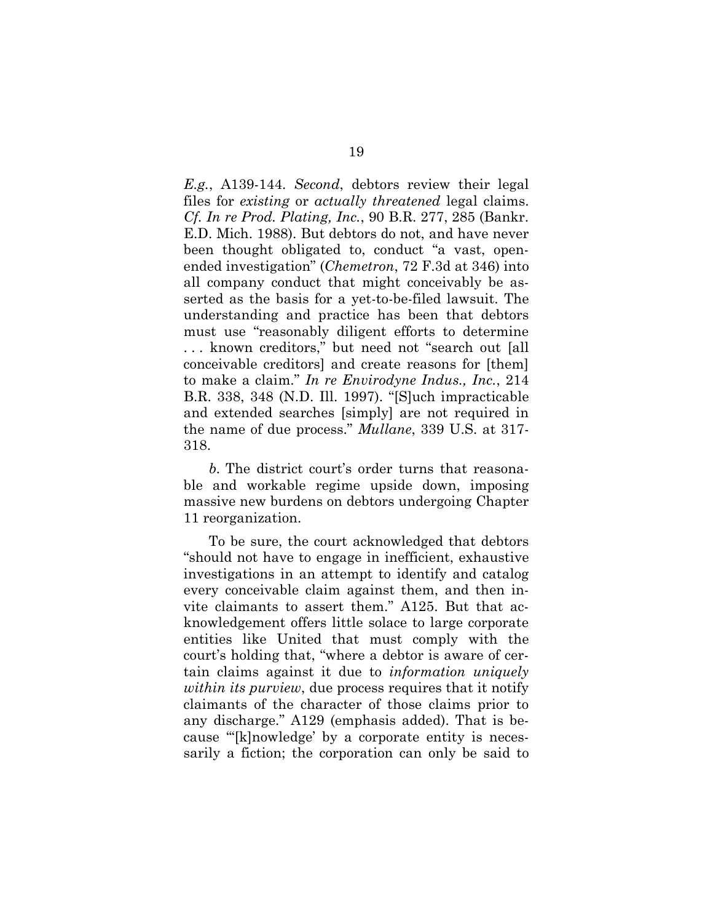*E.g.*, A139-144. *Second*, debtors review their legal files for *existing* or *actually threatened* legal claims. *Cf. In re Prod. Plating, Inc.*, 90 B.R. 277, 285 (Bankr. E.D. Mich. 1988). But debtors do not, and have never been thought obligated to, conduct "a vast, openended investigation" (*Chemetron*, 72 F.3d at 346) into all company conduct that might conceivably be asserted as the basis for a yet-to-be-filed lawsuit. The understanding and practice has been that debtors must use "reasonably diligent efforts to determine . . . known creditors," but need not "search out [all conceivable creditors] and create reasons for [them] to make a claim." *In re Envirodyne Indus., Inc.*, 214 B.R. 338, 348 (N.D. Ill. 1997). "[S]uch impracticable and extended searches [simply] are not required in the name of due process." *Mullane*, 339 U.S. at 317- 318.

*b.* The district court's order turns that reasonable and workable regime upside down, imposing massive new burdens on debtors undergoing Chapter 11 reorganization.

To be sure, the court acknowledged that debtors "should not have to engage in inefficient, exhaustive investigations in an attempt to identify and catalog every conceivable claim against them, and then invite claimants to assert them." A125. But that acknowledgement offers little solace to large corporate entities like United that must comply with the court's holding that, "where a debtor is aware of certain claims against it due to *information uniquely within its purview*, due process requires that it notify claimants of the character of those claims prior to any discharge." A129 (emphasis added). That is because "'[k]nowledge' by a corporate entity is necessarily a fiction; the corporation can only be said to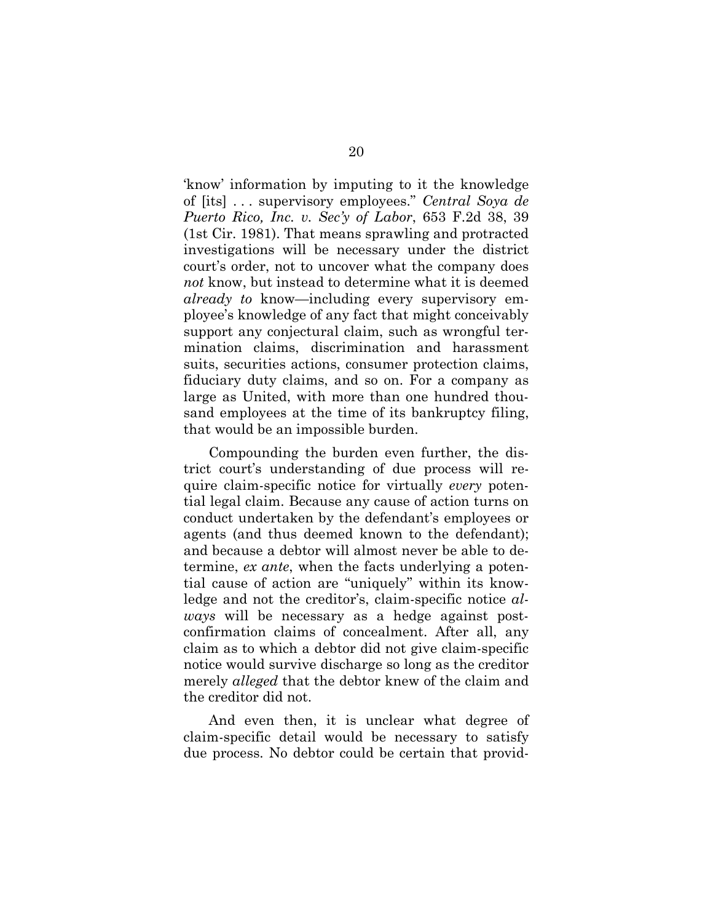'know' information by imputing to it the knowledge of [its] . . . supervisory employees." *Central Soya de Puerto Rico, Inc. v. Sec'y of Labor*, 653 F.2d 38, 39 (1st Cir. 1981). That means sprawling and protracted investigations will be necessary under the district court's order, not to uncover what the company does *not* know, but instead to determine what it is deemed *already to* know—including every supervisory employee's knowledge of any fact that might conceivably support any conjectural claim, such as wrongful termination claims, discrimination and harassment suits, securities actions, consumer protection claims, fiduciary duty claims, and so on. For a company as large as United, with more than one hundred thousand employees at the time of its bankruptcy filing, that would be an impossible burden.

Compounding the burden even further, the district court's understanding of due process will require claim-specific notice for virtually *every* potential legal claim. Because any cause of action turns on conduct undertaken by the defendant's employees or agents (and thus deemed known to the defendant); and because a debtor will almost never be able to determine, *ex ante*, when the facts underlying a potential cause of action are "uniquely" within its knowledge and not the creditor's, claim-specific notice *always* will be necessary as a hedge against postconfirmation claims of concealment. After all, any claim as to which a debtor did not give claim-specific notice would survive discharge so long as the creditor merely *alleged* that the debtor knew of the claim and the creditor did not.

And even then, it is unclear what degree of claim-specific detail would be necessary to satisfy due process. No debtor could be certain that provid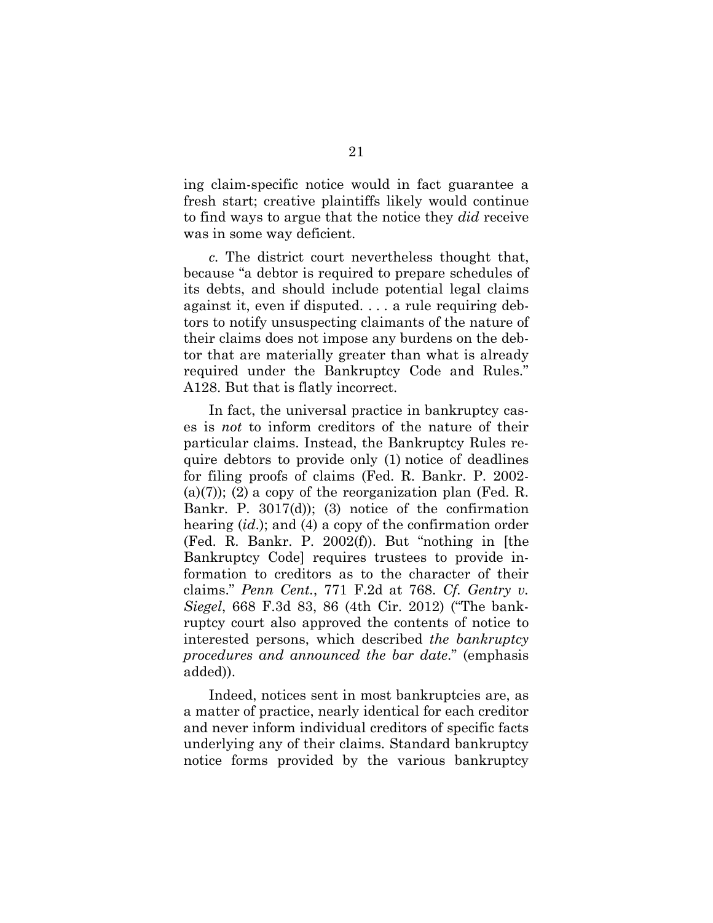ing claim-specific notice would in fact guarantee a fresh start; creative plaintiffs likely would continue to find ways to argue that the notice they *did* receive was in some way deficient.

*c.* The district court nevertheless thought that, because "a debtor is required to prepare schedules of its debts, and should include potential legal claims against it, even if disputed. . . . a rule requiring debtors to notify unsuspecting claimants of the nature of their claims does not impose any burdens on the debtor that are materially greater than what is already required under the Bankruptcy Code and Rules." A128. But that is flatly incorrect.

In fact, the universal practice in bankruptcy cases is *not* to inform creditors of the nature of their particular claims. Instead, the Bankruptcy Rules require debtors to provide only (1) notice of deadlines for filing proofs of claims (Fed. R. Bankr. P. 2002- (a)(7)); (2) a copy of the reorganization plan (Fed. R. Bankr. P. 3017(d)); (3) notice of the confirmation hearing (*id*.); and (4) a copy of the confirmation order (Fed. R. Bankr. P. 2002(f)). But "nothing in [the Bankruptcy Code] requires trustees to provide information to creditors as to the character of their claims." *Penn Cent.*, 771 F.2d at 768. *Cf. Gentry v. Siegel*, 668 F.3d 83, 86 (4th Cir. 2012) ("The bankruptcy court also approved the contents of notice to interested persons, which described *the bankruptcy procedures and announced the bar date*." (emphasis added)).

Indeed, notices sent in most bankruptcies are, as a matter of practice, nearly identical for each creditor and never inform individual creditors of specific facts underlying any of their claims. Standard bankruptcy notice forms provided by the various bankruptcy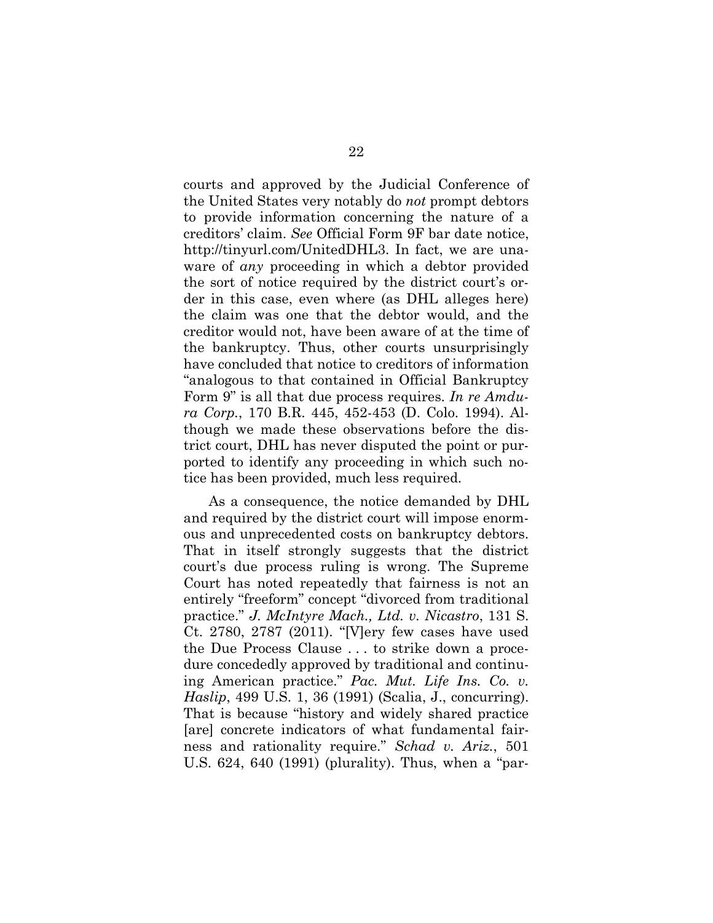courts and approved by the Judicial Conference of the United States very notably do *not* prompt debtors to provide information concerning the nature of a creditors' claim. *See* Official Form 9F bar date notice, http://tinyurl.com/UnitedDHL3. In fact, we are unaware of *any* proceeding in which a debtor provided the sort of notice required by the district court's order in this case, even where (as DHL alleges here) the claim was one that the debtor would, and the creditor would not, have been aware of at the time of the bankruptcy. Thus, other courts unsurprisingly have concluded that notice to creditors of information "analogous to that contained in Official Bankruptcy Form 9" is all that due process requires. *In re Amdura Corp.*, 170 B.R. 445, 452-453 (D. Colo. 1994). Although we made these observations before the district court, DHL has never disputed the point or purported to identify any proceeding in which such notice has been provided, much less required.

As a consequence, the notice demanded by DHL and required by the district court will impose enormous and unprecedented costs on bankruptcy debtors. That in itself strongly suggests that the district court's due process ruling is wrong. The Supreme Court has noted repeatedly that fairness is not an entirely "freeform" concept "divorced from traditional practice." *J. McIntyre Mach., Ltd. v. Nicastro*, 131 S. Ct. 2780, 2787 (2011). "[V]ery few cases have used the Due Process Clause . . . to strike down a procedure concededly approved by traditional and continuing American practice." *Pac. Mut. Life Ins. Co. v. Haslip*, 499 U.S. 1, 36 (1991) (Scalia, J., concurring). That is because "history and widely shared practice [are] concrete indicators of what fundamental fairness and rationality require." *Schad v. Ariz.*, 501 U.S. 624, 640 (1991) (plurality). Thus, when a "par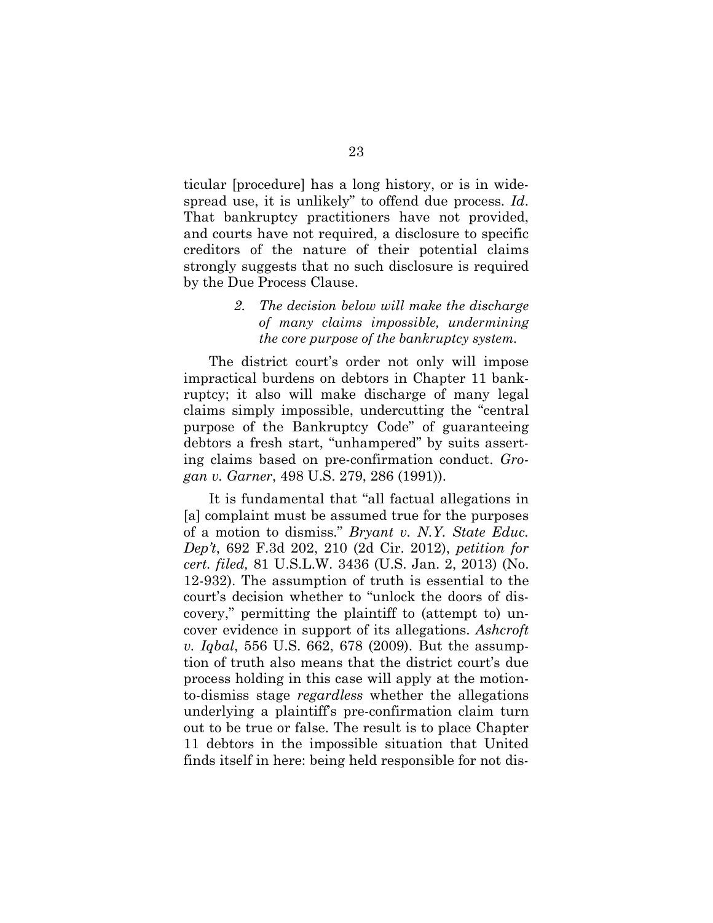ticular [procedure] has a long history, or is in widespread use, it is unlikely" to offend due process. *Id*. That bankruptcy practitioners have not provided, and courts have not required, a disclosure to specific creditors of the nature of their potential claims strongly suggests that no such disclosure is required by the Due Process Clause.

## *2. The decision below will make the discharge of many claims impossible, undermining the core purpose of the bankruptcy system.*

The district court's order not only will impose impractical burdens on debtors in Chapter 11 bankruptcy; it also will make discharge of many legal claims simply impossible, undercutting the "central purpose of the Bankruptcy Code" of guaranteeing debtors a fresh start, "unhampered" by suits asserting claims based on pre-confirmation conduct. *Grogan v. Garner*, 498 U.S. 279, 286 (1991)).

It is fundamental that "all factual allegations in [a] complaint must be assumed true for the purposes of a motion to dismiss." *Bryant v. N.Y. State Educ. Dep't*, 692 F.3d 202, 210 (2d Cir. 2012), *petition for cert. filed,* 81 U.S.L.W. 3436 (U.S. Jan. 2, 2013) (No. 12-932). The assumption of truth is essential to the court's decision whether to "unlock the doors of discovery," permitting the plaintiff to (attempt to) uncover evidence in support of its allegations. *Ashcroft v. Iqbal*, 556 U.S. 662, 678 (2009). But the assumption of truth also means that the district court's due process holding in this case will apply at the motionto-dismiss stage *regardless* whether the allegations underlying a plaintiff's pre-confirmation claim turn out to be true or false. The result is to place Chapter 11 debtors in the impossible situation that United finds itself in here: being held responsible for not dis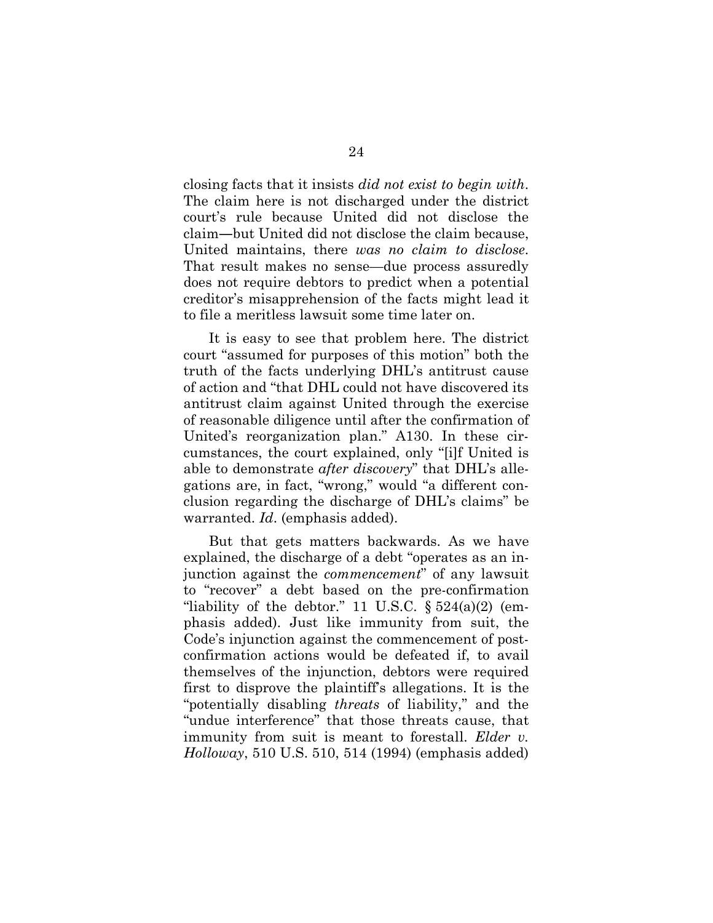closing facts that it insists *did not exist to begin with*. The claim here is not discharged under the district court's rule because United did not disclose the claim―but United did not disclose the claim because, United maintains, there *was no claim to disclose*. That result makes no sense—due process assuredly does not require debtors to predict when a potential creditor's misapprehension of the facts might lead it to file a meritless lawsuit some time later on.

It is easy to see that problem here. The district court "assumed for purposes of this motion" both the truth of the facts underlying DHL's antitrust cause of action and "that DHL could not have discovered its antitrust claim against United through the exercise of reasonable diligence until after the confirmation of United's reorganization plan." A130. In these circumstances, the court explained, only "[i]f United is able to demonstrate *after discovery*" that DHL's allegations are, in fact, "wrong," would "a different conclusion regarding the discharge of DHL's claims" be warranted. *Id*. (emphasis added).

But that gets matters backwards. As we have explained, the discharge of a debt "operates as an injunction against the *commencement*" of any lawsuit to "recover" a debt based on the pre-confirmation "liability of the debtor." 11 U.S.C.  $\S 524(a)(2)$  (emphasis added). Just like immunity from suit, the Code's injunction against the commencement of postconfirmation actions would be defeated if, to avail themselves of the injunction, debtors were required first to disprove the plaintiff's allegations. It is the "potentially disabling *threats* of liability," and the "undue interference" that those threats cause, that immunity from suit is meant to forestall. *Elder v. Holloway*, 510 U.S. 510, 514 (1994) (emphasis added)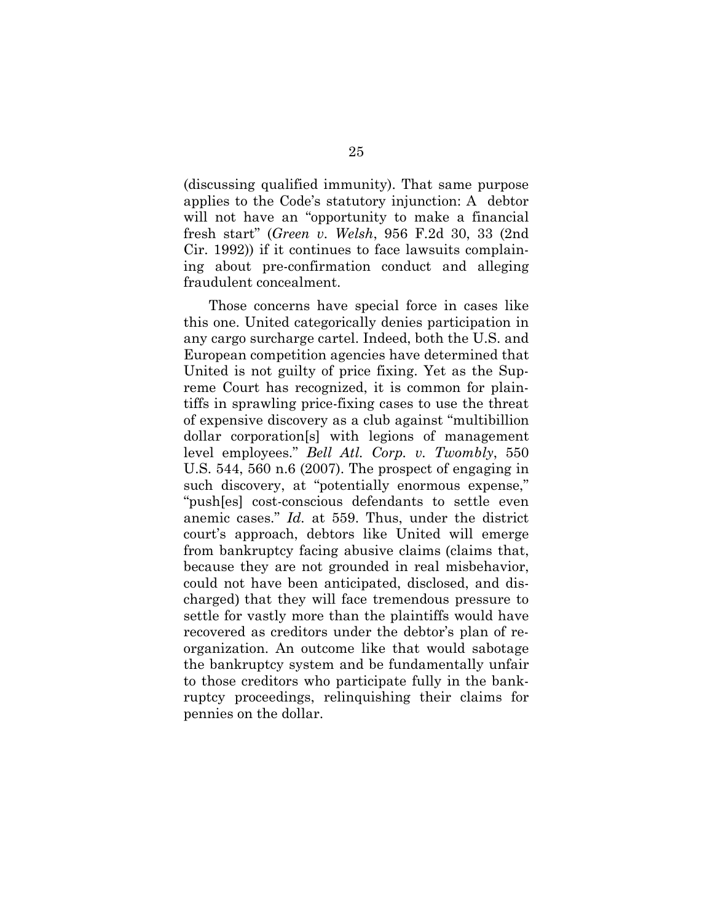(discussing qualified immunity). That same purpose applies to the Code's statutory injunction: A debtor will not have an "opportunity to make a financial fresh start" (*Green v. Welsh*, 956 F.2d 30, 33 (2nd Cir. 1992)) if it continues to face lawsuits complaining about pre-confirmation conduct and alleging fraudulent concealment.

Those concerns have special force in cases like this one. United categorically denies participation in any cargo surcharge cartel. Indeed, both the U.S. and European competition agencies have determined that United is not guilty of price fixing. Yet as the Supreme Court has recognized, it is common for plaintiffs in sprawling price-fixing cases to use the threat of expensive discovery as a club against "multibillion dollar corporation[s] with legions of management level employees." *Bell Atl. Corp. v. Twombly*, 550 U.S. 544, 560 n.6 (2007). The prospect of engaging in such discovery, at "potentially enormous expense," "push[es] cost-conscious defendants to settle even anemic cases." *Id.* at 559. Thus, under the district court's approach, debtors like United will emerge from bankruptcy facing abusive claims (claims that, because they are not grounded in real misbehavior, could not have been anticipated, disclosed, and discharged) that they will face tremendous pressure to settle for vastly more than the plaintiffs would have recovered as creditors under the debtor's plan of reorganization. An outcome like that would sabotage the bankruptcy system and be fundamentally unfair to those creditors who participate fully in the bankruptcy proceedings, relinquishing their claims for pennies on the dollar.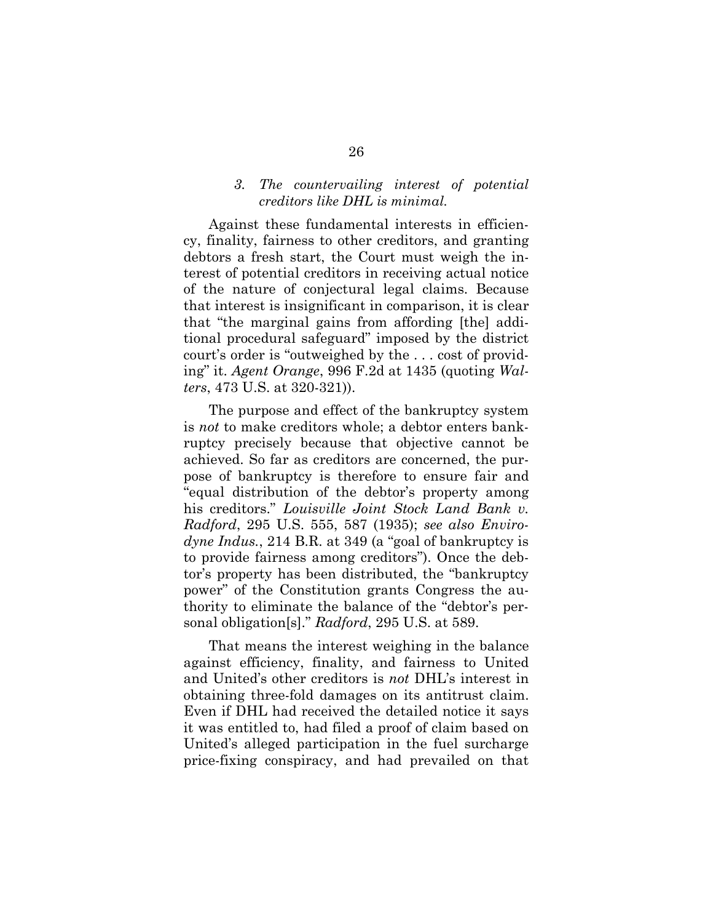#### *3. The countervailing interest of potential creditors like DHL is minimal.*

Against these fundamental interests in efficiency, finality, fairness to other creditors, and granting debtors a fresh start, the Court must weigh the interest of potential creditors in receiving actual notice of the nature of conjectural legal claims. Because that interest is insignificant in comparison, it is clear that "the marginal gains from affording [the] additional procedural safeguard" imposed by the district court's order is "outweighed by the . . . cost of providing" it. *Agent Orange*, 996 F.2d at 1435 (quoting *Walters*, 473 U.S. at 320-321)).

The purpose and effect of the bankruptcy system is *not* to make creditors whole; a debtor enters bankruptcy precisely because that objective cannot be achieved. So far as creditors are concerned, the purpose of bankruptcy is therefore to ensure fair and "equal distribution of the debtor's property among his creditors." *Louisville Joint Stock Land Bank v. Radford*, 295 U.S. 555, 587 (1935); *see also Envirodyne Indus.*, 214 B.R. at 349 (a "goal of bankruptcy is to provide fairness among creditors"). Once the debtor's property has been distributed, the "bankruptcy power" of the Constitution grants Congress the authority to eliminate the balance of the "debtor's personal obligation[s]." *Radford*, 295 U.S. at 589.

That means the interest weighing in the balance against efficiency, finality, and fairness to United and United's other creditors is *not* DHL's interest in obtaining three-fold damages on its antitrust claim. Even if DHL had received the detailed notice it says it was entitled to, had filed a proof of claim based on United's alleged participation in the fuel surcharge price-fixing conspiracy, and had prevailed on that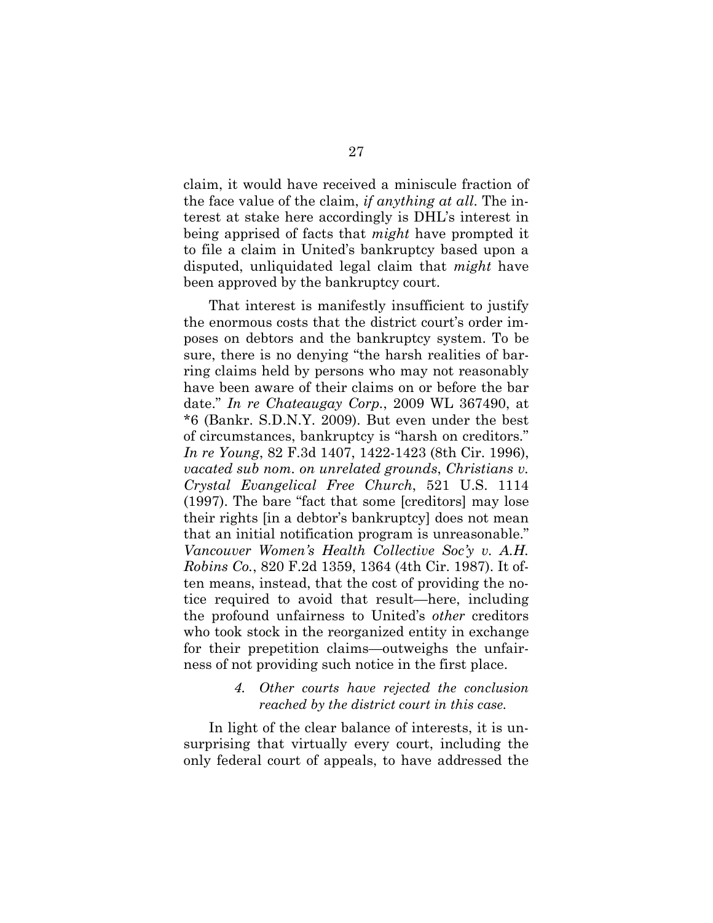claim, it would have received a miniscule fraction of the face value of the claim, *if anything at all*. The interest at stake here accordingly is DHL's interest in being apprised of facts that *might* have prompted it to file a claim in United's bankruptcy based upon a disputed, unliquidated legal claim that *might* have been approved by the bankruptcy court.

That interest is manifestly insufficient to justify the enormous costs that the district court's order imposes on debtors and the bankruptcy system. To be sure, there is no denying "the harsh realities of barring claims held by persons who may not reasonably have been aware of their claims on or before the bar date." *In re Chateaugay Corp.*, 2009 WL 367490, at \*6 (Bankr. S.D.N.Y. 2009). But even under the best of circumstances, bankruptcy is "harsh on creditors." *In re Young*, 82 F.3d 1407, 1422-1423 (8th Cir. 1996), *vacated sub nom. on unrelated grounds*, *Christians v. Crystal Evangelical Free Church*, 521 U.S. 1114 (1997). The bare "fact that some [creditors] may lose their rights [in a debtor's bankruptcy] does not mean that an initial notification program is unreasonable." *Vancouver Women's Health Collective Soc'y v. A.H. Robins Co.*, 820 F.2d 1359, 1364 (4th Cir. 1987). It often means, instead, that the cost of providing the notice required to avoid that result—here, including the profound unfairness to United's *other* creditors who took stock in the reorganized entity in exchange for their prepetition claims—outweighs the unfairness of not providing such notice in the first place.

#### *4. Other courts have rejected the conclusion reached by the district court in this case.*

In light of the clear balance of interests, it is unsurprising that virtually every court, including the only federal court of appeals, to have addressed the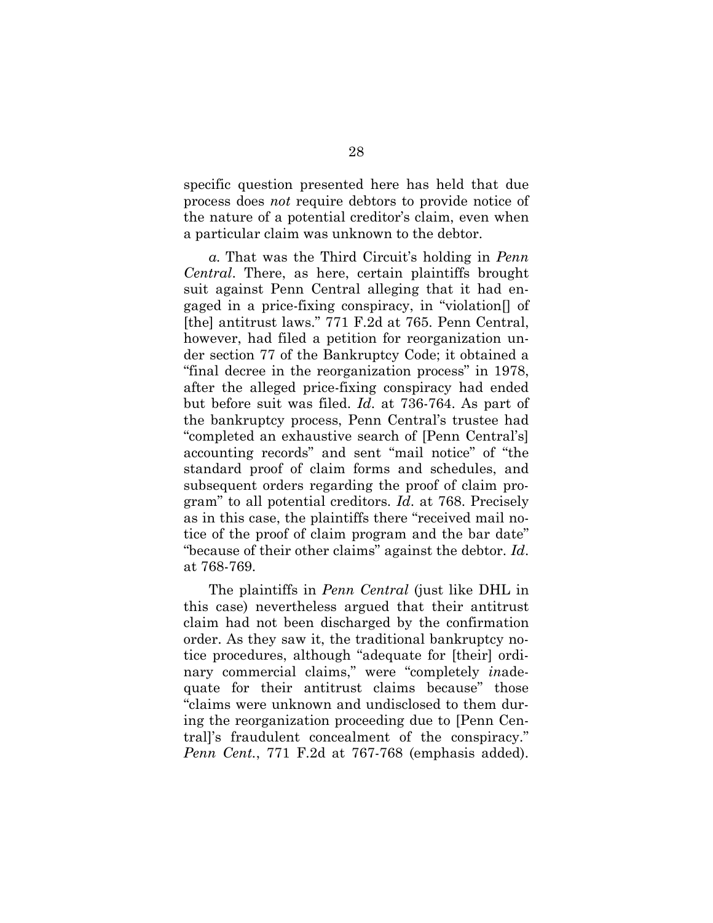specific question presented here has held that due process does *not* require debtors to provide notice of the nature of a potential creditor's claim, even when a particular claim was unknown to the debtor.

*a.* That was the Third Circuit's holding in *Penn Central*. There, as here, certain plaintiffs brought suit against Penn Central alleging that it had engaged in a price-fixing conspiracy, in "violation[] of [the] antitrust laws." 771 F.2d at 765. Penn Central, however, had filed a petition for reorganization under section 77 of the Bankruptcy Code; it obtained a "final decree in the reorganization process" in 1978, after the alleged price-fixing conspiracy had ended but before suit was filed. *Id*. at 736-764. As part of the bankruptcy process, Penn Central's trustee had "completed an exhaustive search of [Penn Central's] accounting records" and sent "mail notice" of "the standard proof of claim forms and schedules, and subsequent orders regarding the proof of claim program" to all potential creditors. *Id*. at 768. Precisely as in this case, the plaintiffs there "received mail notice of the proof of claim program and the bar date" "because of their other claims" against the debtor. *Id*. at 768-769.

The plaintiffs in *Penn Central* (just like DHL in this case) nevertheless argued that their antitrust claim had not been discharged by the confirmation order. As they saw it, the traditional bankruptcy notice procedures, although "adequate for [their] ordinary commercial claims," were "completely *in*adequate for their antitrust claims because" those "claims were unknown and undisclosed to them during the reorganization proceeding due to [Penn Central]'s fraudulent concealment of the conspiracy." *Penn Cent.*, 771 F.2d at 767-768 (emphasis added).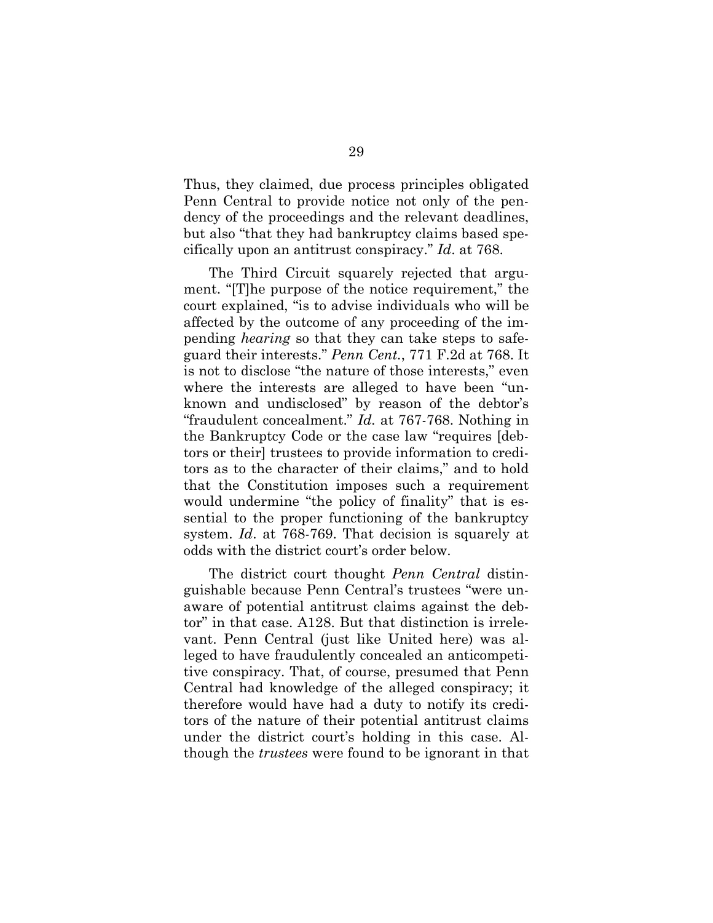Thus, they claimed, due process principles obligated Penn Central to provide notice not only of the pendency of the proceedings and the relevant deadlines, but also "that they had bankruptcy claims based specifically upon an antitrust conspiracy." *Id*. at 768.

The Third Circuit squarely rejected that argument. "[T]he purpose of the notice requirement," the court explained, "is to advise individuals who will be affected by the outcome of any proceeding of the impending *hearing* so that they can take steps to safeguard their interests." *Penn Cent.*, 771 F.2d at 768. It is not to disclose "the nature of those interests," even where the interests are alleged to have been "unknown and undisclosed" by reason of the debtor's "fraudulent concealment." *Id.* at 767-768. Nothing in the Bankruptcy Code or the case law "requires [debtors or their] trustees to provide information to creditors as to the character of their claims," and to hold that the Constitution imposes such a requirement would undermine "the policy of finality" that is essential to the proper functioning of the bankruptcy system. *Id*. at 768-769. That decision is squarely at odds with the district court's order below.

The district court thought *Penn Central* distinguishable because Penn Central's trustees "were unaware of potential antitrust claims against the debtor" in that case. A128. But that distinction is irrelevant. Penn Central (just like United here) was alleged to have fraudulently concealed an anticompetitive conspiracy. That, of course, presumed that Penn Central had knowledge of the alleged conspiracy; it therefore would have had a duty to notify its creditors of the nature of their potential antitrust claims under the district court's holding in this case. Although the *trustees* were found to be ignorant in that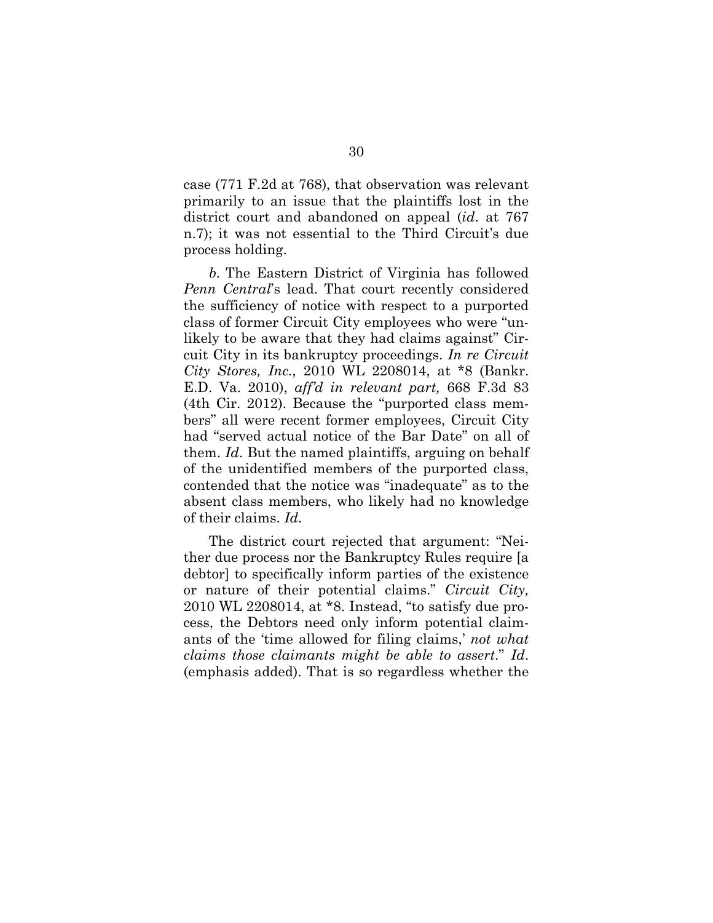case (771 F.2d at 768), that observation was relevant primarily to an issue that the plaintiffs lost in the district court and abandoned on appeal (*id*. at 767 n.7); it was not essential to the Third Circuit's due process holding.

*b.* The Eastern District of Virginia has followed *Penn Central*'s lead. That court recently considered the sufficiency of notice with respect to a purported class of former Circuit City employees who were "unlikely to be aware that they had claims against" Circuit City in its bankruptcy proceedings. *In re Circuit City Stores, Inc.*, 2010 WL 2208014, at \*8 (Bankr. E.D. Va. 2010), *aff'd in relevant part,* 668 F.3d 83 (4th Cir. 2012). Because the "purported class members" all were recent former employees, Circuit City had "served actual notice of the Bar Date" on all of them. *Id*. But the named plaintiffs, arguing on behalf of the unidentified members of the purported class, contended that the notice was "inadequate" as to the absent class members, who likely had no knowledge of their claims. *Id*.

The district court rejected that argument: "Neither due process nor the Bankruptcy Rules require [a debtor] to specifically inform parties of the existence or nature of their potential claims." *Circuit City,* 2010 WL 2208014, at \*8. Instead, "to satisfy due process, the Debtors need only inform potential claimants of the 'time allowed for filing claims,' *not what claims those claimants might be able to assert*." *Id*. (emphasis added). That is so regardless whether the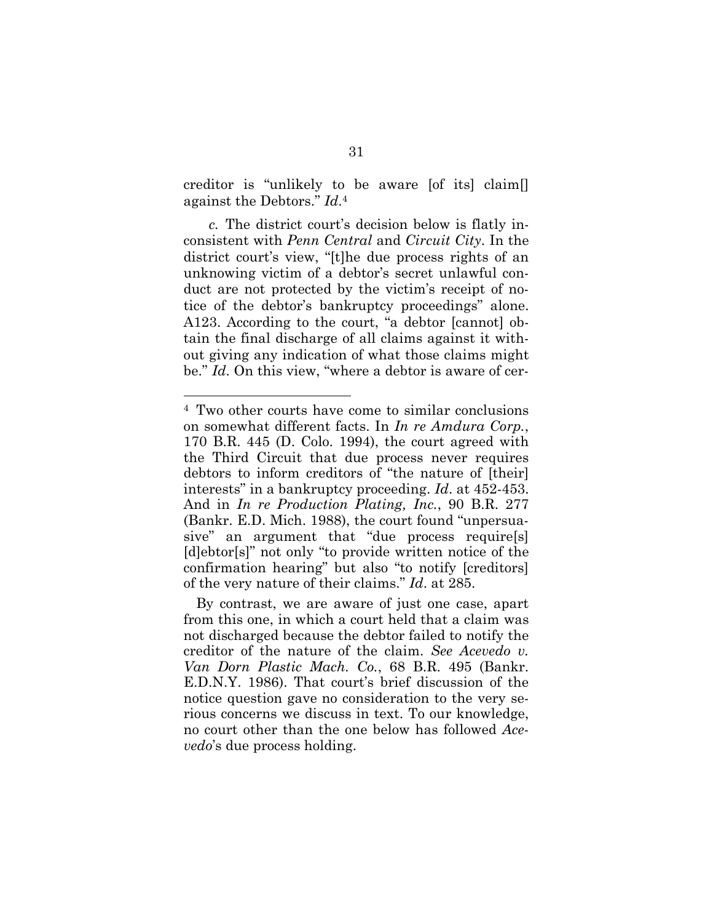creditor is "unlikely to be aware [of its] claim[] against the Debtors." *Id*. 4

*c.* The district court's decision below is flatly inconsistent with *Penn Central* and *Circuit City*. In the district court's view, "[t]he due process rights of an unknowing victim of a debtor's secret unlawful conduct are not protected by the victim's receipt of notice of the debtor's bankruptcy proceedings" alone. A123. According to the court, "a debtor [cannot] obtain the final discharge of all claims against it without giving any indication of what those claims might be." *Id*. On this view, "where a debtor is aware of cer-

<sup>4</sup> Two other courts have come to similar conclusions on somewhat different facts. In *In re Amdura Corp.*, 170 B.R. 445 (D. Colo. 1994), the court agreed with the Third Circuit that due process never requires debtors to inform creditors of "the nature of [their] interests" in a bankruptcy proceeding. *Id*. at 452-453. And in *In re Production Plating, Inc.*, 90 B.R. 277 (Bankr. E.D. Mich. 1988), the court found "unpersuasive" an argument that "due process require[s] [d]ebtor[s]" not only "to provide written notice of the confirmation hearing" but also "to notify [creditors] of the very nature of their claims." *Id*. at 285.

By contrast, we are aware of just one case, apart from this one, in which a court held that a claim was not discharged because the debtor failed to notify the creditor of the nature of the claim. *See Acevedo v. Van Dorn Plastic Mach. Co.*, 68 B.R. 495 (Bankr. E.D.N.Y. 1986). That court's brief discussion of the notice question gave no consideration to the very serious concerns we discuss in text. To our knowledge, no court other than the one below has followed *Acevedo*'s due process holding.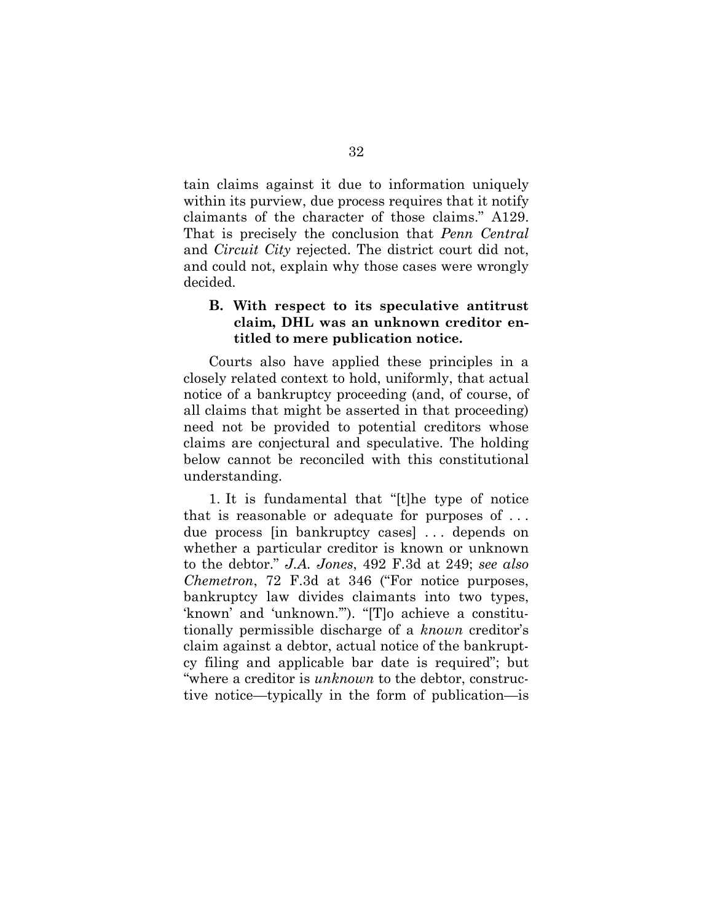tain claims against it due to information uniquely within its purview, due process requires that it notify claimants of the character of those claims." A129. That is precisely the conclusion that *Penn Central* and *Circuit City* rejected. The district court did not, and could not, explain why those cases were wrongly decided.

## **B. With respect to its speculative antitrust claim, DHL was an unknown creditor entitled to mere publication notice.**

Courts also have applied these principles in a closely related context to hold, uniformly, that actual notice of a bankruptcy proceeding (and, of course, of all claims that might be asserted in that proceeding) need not be provided to potential creditors whose claims are conjectural and speculative. The holding below cannot be reconciled with this constitutional understanding.

1. It is fundamental that "[t]he type of notice that is reasonable or adequate for purposes of . . . due process [in bankruptcy cases] . . . depends on whether a particular creditor is known or unknown to the debtor." *J.A. Jones*, 492 F.3d at 249; *see also Chemetron*, 72 F.3d at 346 ("For notice purposes, bankruptcy law divides claimants into two types, 'known' and 'unknown.'"). "[T]o achieve a constitutionally permissible discharge of a *known* creditor's claim against a debtor, actual notice of the bankruptcy filing and applicable bar date is required"; but "where a creditor is *unknown* to the debtor, constructive notice—typically in the form of publication—is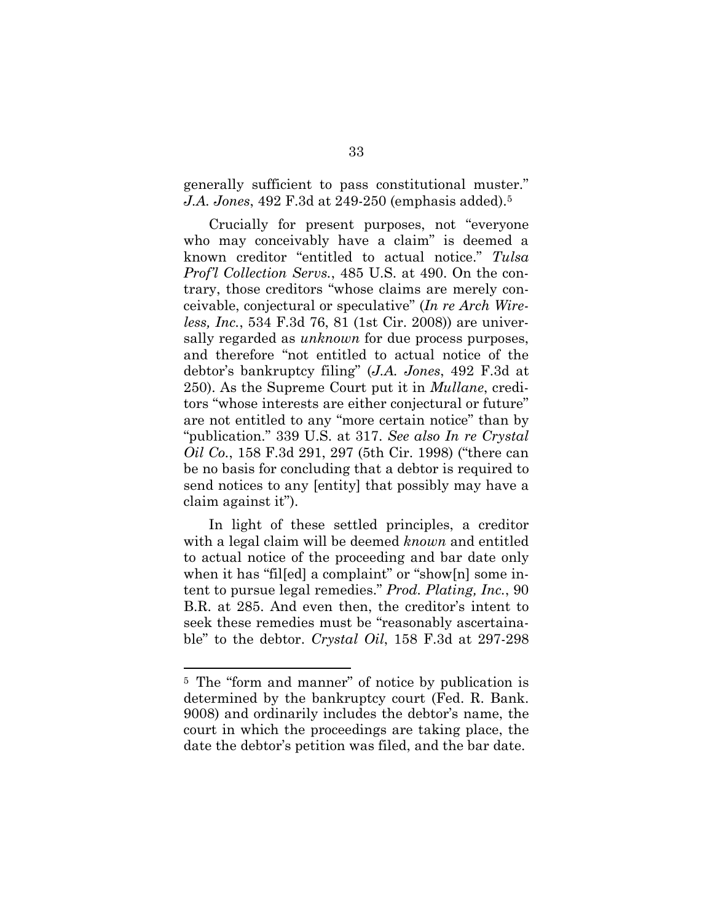generally sufficient to pass constitutional muster." *J.A. Jones*, 492 F.3d at 249-250 (emphasis added).<sup>5</sup>

Crucially for present purposes, not "everyone who may conceivably have a claim" is deemed a known creditor "entitled to actual notice." *Tulsa Prof'l Collection Servs.*, 485 U.S. at 490. On the contrary, those creditors "whose claims are merely conceivable, conjectural or speculative" (*In re Arch Wireless, Inc.*, 534 F.3d 76, 81 (1st Cir. 2008)) are universally regarded as *unknown* for due process purposes, and therefore "not entitled to actual notice of the debtor's bankruptcy filing" (*J.A. Jones*, 492 F.3d at 250). As the Supreme Court put it in *Mullane*, creditors "whose interests are either conjectural or future" are not entitled to any "more certain notice" than by "publication." 339 U.S. at 317. *See also In re Crystal Oil Co.*, 158 F.3d 291, 297 (5th Cir. 1998) ("there can be no basis for concluding that a debtor is required to send notices to any [entity] that possibly may have a claim against it").

In light of these settled principles, a creditor with a legal claim will be deemed *known* and entitled to actual notice of the proceeding and bar date only when it has "filled a complaint" or "show[n] some intent to pursue legal remedies." *Prod. Plating, Inc.*, 90 B.R. at 285. And even then, the creditor's intent to seek these remedies must be "reasonably ascertainable" to the debtor. *Crystal Oil*, 158 F.3d at 297-298

<sup>5</sup> The "form and manner" of notice by publication is determined by the bankruptcy court (Fed. R. Bank. 9008) and ordinarily includes the debtor's name, the court in which the proceedings are taking place, the date the debtor's petition was filed, and the bar date.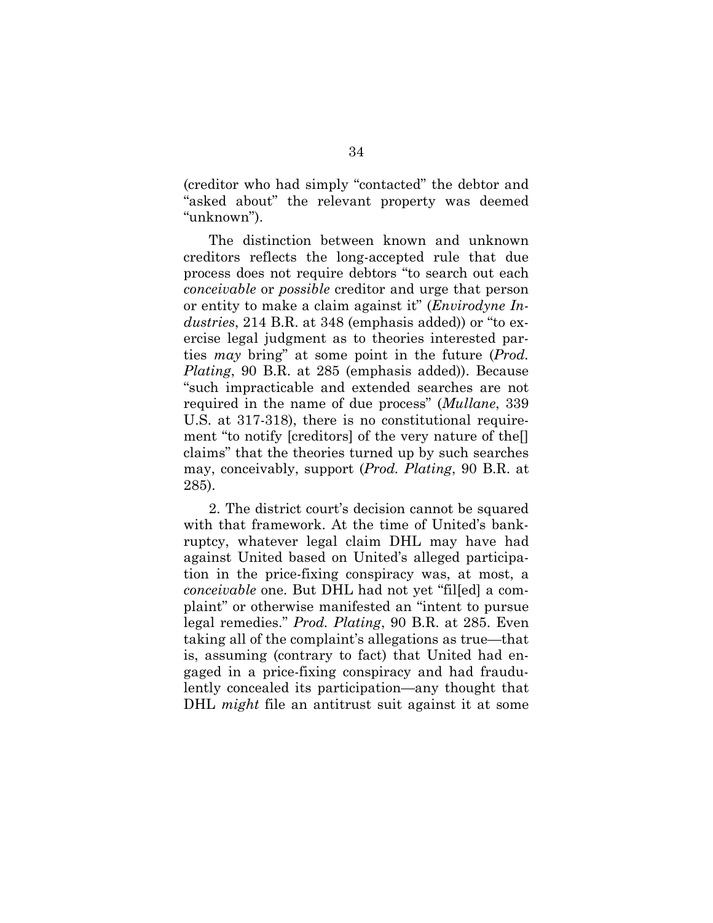(creditor who had simply "contacted" the debtor and "asked about" the relevant property was deemed "unknown").

The distinction between known and unknown creditors reflects the long-accepted rule that due process does not require debtors "to search out each *conceivable* or *possible* creditor and urge that person or entity to make a claim against it" (*Envirodyne Industries*, 214 B.R. at 348 (emphasis added)) or "to exercise legal judgment as to theories interested parties *may* bring" at some point in the future (*Prod. Plating*, 90 B.R. at 285 (emphasis added)). Because "such impracticable and extended searches are not required in the name of due process" (*Mullane*, 339 U.S. at 317-318), there is no constitutional requirement "to notify [creditors] of the very nature of the[] claims" that the theories turned up by such searches may, conceivably, support (*Prod. Plating*, 90 B.R. at 285).

2. The district court's decision cannot be squared with that framework. At the time of United's bankruptcy, whatever legal claim DHL may have had against United based on United's alleged participation in the price-fixing conspiracy was, at most, a *conceivable* one. But DHL had not yet "fil[ed] a complaint" or otherwise manifested an "intent to pursue legal remedies." *Prod. Plating*, 90 B.R. at 285. Even taking all of the complaint's allegations as true—that is, assuming (contrary to fact) that United had engaged in a price-fixing conspiracy and had fraudulently concealed its participation—any thought that DHL *might* file an antitrust suit against it at some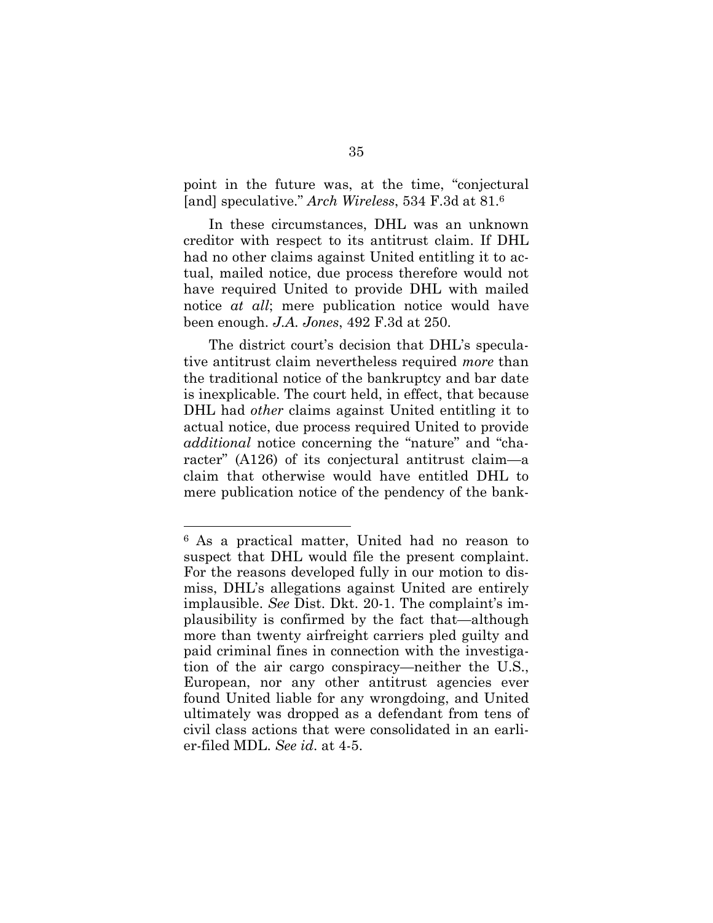point in the future was, at the time, "conjectural [and] speculative." *Arch Wireless*, 534 F.3d at 81.<sup>6</sup>

In these circumstances, DHL was an unknown creditor with respect to its antitrust claim. If DHL had no other claims against United entitling it to actual, mailed notice, due process therefore would not have required United to provide DHL with mailed notice *at all*; mere publication notice would have been enough. *J.A. Jones*, 492 F.3d at 250.

The district court's decision that DHL's speculative antitrust claim nevertheless required *more* than the traditional notice of the bankruptcy and bar date is inexplicable. The court held, in effect, that because DHL had *other* claims against United entitling it to actual notice, due process required United to provide *additional* notice concerning the "nature" and "character" (A126) of its conjectural antitrust claim—a claim that otherwise would have entitled DHL to mere publication notice of the pendency of the bank-

<sup>6</sup> As a practical matter, United had no reason to suspect that DHL would file the present complaint. For the reasons developed fully in our motion to dismiss, DHL's allegations against United are entirely implausible. *See* Dist. Dkt. 20-1. The complaint's implausibility is confirmed by the fact that—although more than twenty airfreight carriers pled guilty and paid criminal fines in connection with the investigation of the air cargo conspiracy—neither the U.S., European, nor any other antitrust agencies ever found United liable for any wrongdoing, and United ultimately was dropped as a defendant from tens of civil class actions that were consolidated in an earlier-filed MDL. *See id*. at 4-5.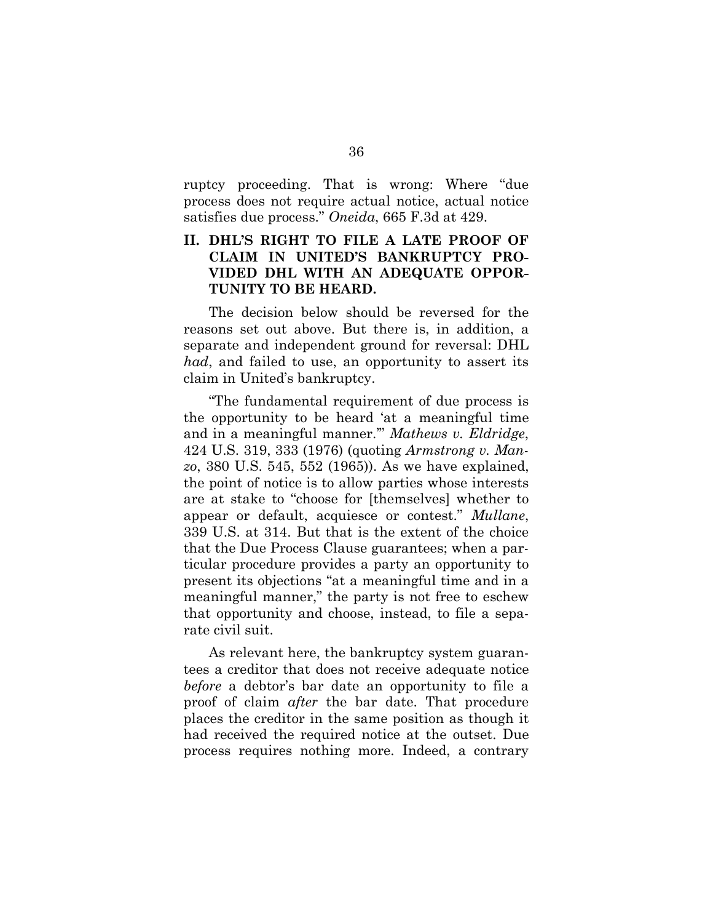ruptcy proceeding. That is wrong: Where "due process does not require actual notice, actual notice satisfies due process." *Oneida*, 665 F.3d at 429.

## **II. DHL'S RIGHT TO FILE A LATE PROOF OF CLAIM IN UNITED'S BANKRUPTCY PRO-VIDED DHL WITH AN ADEQUATE OPPOR-TUNITY TO BE HEARD.**

The decision below should be reversed for the reasons set out above. But there is, in addition, a separate and independent ground for reversal: DHL *had*, and failed to use, an opportunity to assert its claim in United's bankruptcy.

"The fundamental requirement of due process is the opportunity to be heard 'at a meaningful time and in a meaningful manner.'" *Mathews v. Eldridge*, 424 U.S. 319, 333 (1976) (quoting *Armstrong v. Manzo*, 380 U.S. 545, 552 (1965)). As we have explained, the point of notice is to allow parties whose interests are at stake to "choose for [themselves] whether to appear or default, acquiesce or contest." *Mullane*, 339 U.S. at 314. But that is the extent of the choice that the Due Process Clause guarantees; when a particular procedure provides a party an opportunity to present its objections "at a meaningful time and in a meaningful manner," the party is not free to eschew that opportunity and choose, instead, to file a separate civil suit.

As relevant here, the bankruptcy system guarantees a creditor that does not receive adequate notice *before* a debtor's bar date an opportunity to file a proof of claim *after* the bar date. That procedure places the creditor in the same position as though it had received the required notice at the outset. Due process requires nothing more. Indeed, a contrary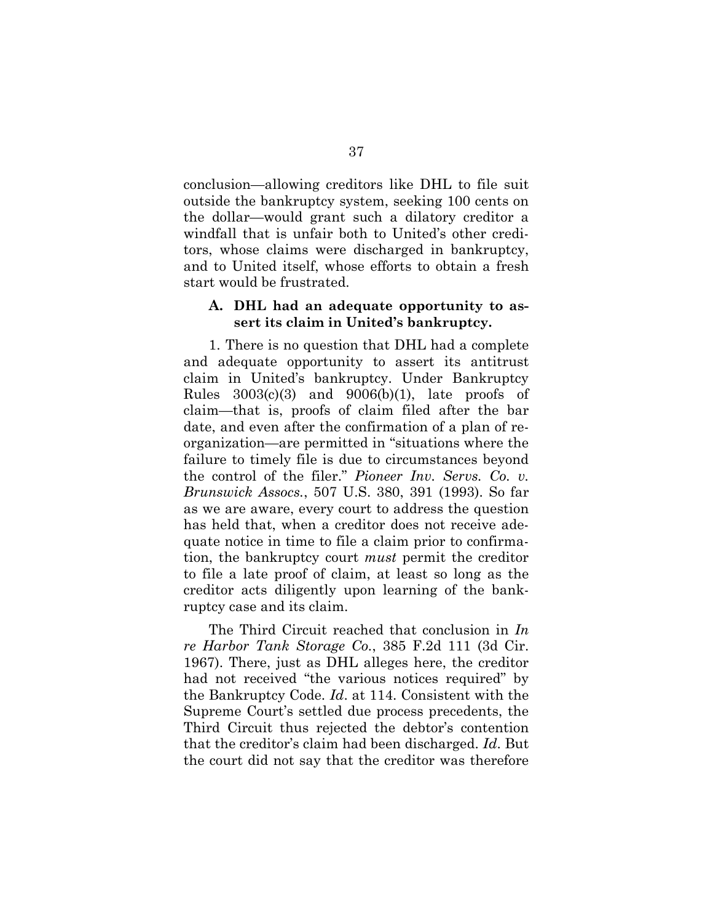conclusion—allowing creditors like DHL to file suit outside the bankruptcy system, seeking 100 cents on the dollar—would grant such a dilatory creditor a windfall that is unfair both to United's other creditors, whose claims were discharged in bankruptcy, and to United itself, whose efforts to obtain a fresh start would be frustrated.

#### **A. DHL had an adequate opportunity to assert its claim in United's bankruptcy.**

1. There is no question that DHL had a complete and adequate opportunity to assert its antitrust claim in United's bankruptcy. Under Bankruptcy Rules  $3003(c)(3)$  and  $9006(b)(1)$ , late proofs of claim—that is, proofs of claim filed after the bar date, and even after the confirmation of a plan of reorganization—are permitted in "situations where the failure to timely file is due to circumstances beyond the control of the filer." *Pioneer Inv. Servs. Co. v. Brunswick Assocs.*, 507 U.S. 380, 391 (1993). So far as we are aware, every court to address the question has held that, when a creditor does not receive adequate notice in time to file a claim prior to confirmation, the bankruptcy court *must* permit the creditor to file a late proof of claim, at least so long as the creditor acts diligently upon learning of the bankruptcy case and its claim.

The Third Circuit reached that conclusion in *In re Harbor Tank Storage Co.*, 385 F.2d 111 (3d Cir. 1967). There, just as DHL alleges here, the creditor had not received "the various notices required" by the Bankruptcy Code. *Id*. at 114. Consistent with the Supreme Court's settled due process precedents, the Third Circuit thus rejected the debtor's contention that the creditor's claim had been discharged. *Id*. But the court did not say that the creditor was therefore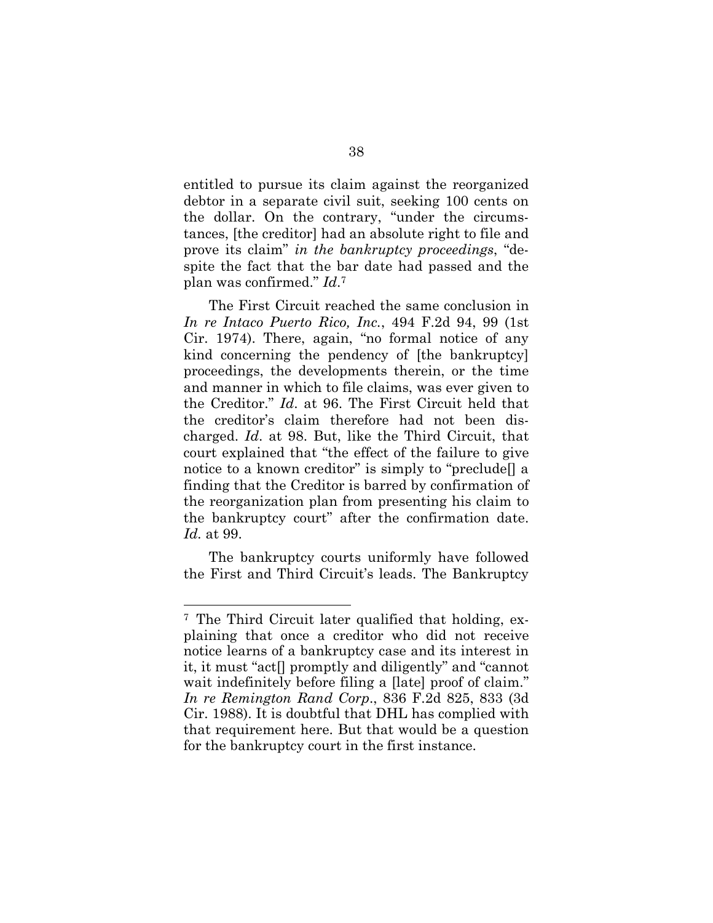entitled to pursue its claim against the reorganized debtor in a separate civil suit, seeking 100 cents on the dollar. On the contrary, "under the circumstances, [the creditor] had an absolute right to file and prove its claim" *in the bankruptcy proceedings*, "despite the fact that the bar date had passed and the plan was confirmed." *Id*. 7

The First Circuit reached the same conclusion in *In re Intaco Puerto Rico, Inc.*, 494 F.2d 94, 99 (1st Cir. 1974). There, again, "no formal notice of any kind concerning the pendency of [the bankruptcy] proceedings, the developments therein, or the time and manner in which to file claims, was ever given to the Creditor." *Id*. at 96. The First Circuit held that the creditor's claim therefore had not been discharged. *Id*. at 98. But, like the Third Circuit, that court explained that "the effect of the failure to give notice to a known creditor" is simply to "preclude[] a finding that the Creditor is barred by confirmation of the reorganization plan from presenting his claim to the bankruptcy court" after the confirmation date. *Id.* at 99.

The bankruptcy courts uniformly have followed the First and Third Circuit's leads. The Bankruptcy

<sup>7</sup> The Third Circuit later qualified that holding, explaining that once a creditor who did not receive notice learns of a bankruptcy case and its interest in it, it must "act[] promptly and diligently" and "cannot wait indefinitely before filing a [late] proof of claim." *In re Remington Rand Corp*., 836 F.2d 825, 833 (3d Cir. 1988). It is doubtful that DHL has complied with that requirement here. But that would be a question for the bankruptcy court in the first instance.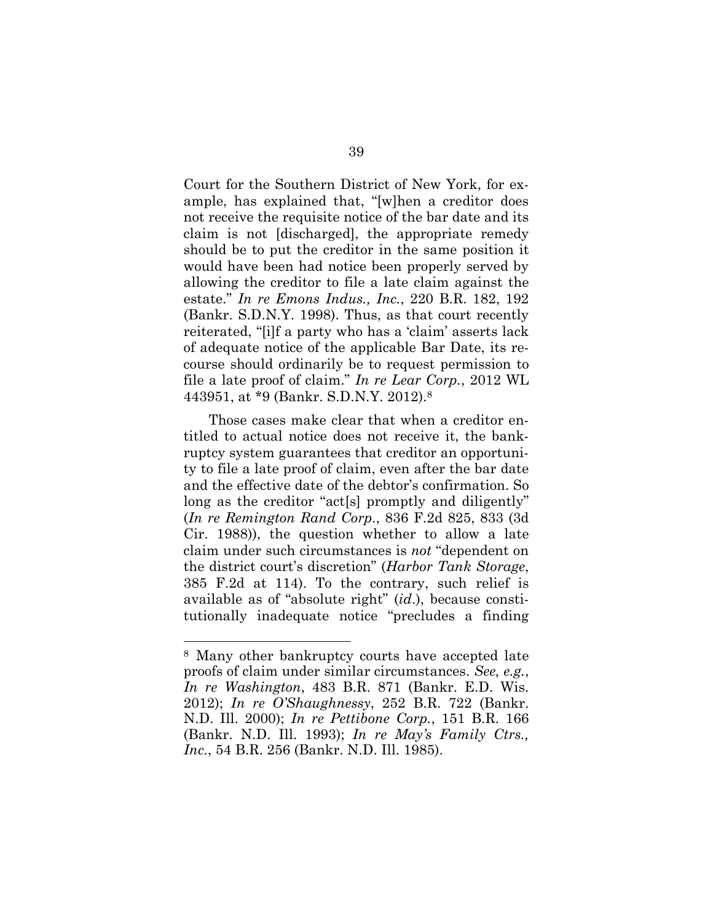Court for the Southern District of New York, for example, has explained that, "[w]hen a creditor does not receive the requisite notice of the bar date and its claim is not [discharged], the appropriate remedy should be to put the creditor in the same position it would have been had notice been properly served by allowing the creditor to file a late claim against the estate." *In re Emons Indus., Inc.*, 220 B.R. 182, 192 (Bankr. S.D.N.Y. 1998). Thus, as that court recently reiterated, "[i]f a party who has a 'claim' asserts lack of adequate notice of the applicable Bar Date, its recourse should ordinarily be to request permission to file a late proof of claim." *In re Lear Corp.*, 2012 WL 443951, at \*9 (Bankr. S.D.N.Y. 2012).<sup>8</sup>

Those cases make clear that when a creditor entitled to actual notice does not receive it, the bankruptcy system guarantees that creditor an opportunity to file a late proof of claim, even after the bar date and the effective date of the debtor's confirmation. So long as the creditor "act<sup>[s]</sup> promptly and diligently" (*In re Remington Rand Corp*., 836 F.2d 825, 833 (3d Cir. 1988)), the question whether to allow a late claim under such circumstances is *not* "dependent on the district court's discretion" (*Harbor Tank Storage*, 385 F.2d at 114). To the contrary, such relief is available as of "absolute right" (*id*.), because constitutionally inadequate notice "precludes a finding

<sup>8</sup> Many other bankruptcy courts have accepted late proofs of claim under similar circumstances. *See, e.g.*, *In re Washington*, 483 B.R. 871 (Bankr. E.D. Wis. 2012); *In re O'Shaughnessy*, 252 B.R. 722 (Bankr. N.D. Ill. 2000); *In re Pettibone Corp.*, 151 B.R. 166 (Bankr. N.D. Ill. 1993); *In re May's Family Ctrs., Inc.*, 54 B.R. 256 (Bankr. N.D. Ill. 1985).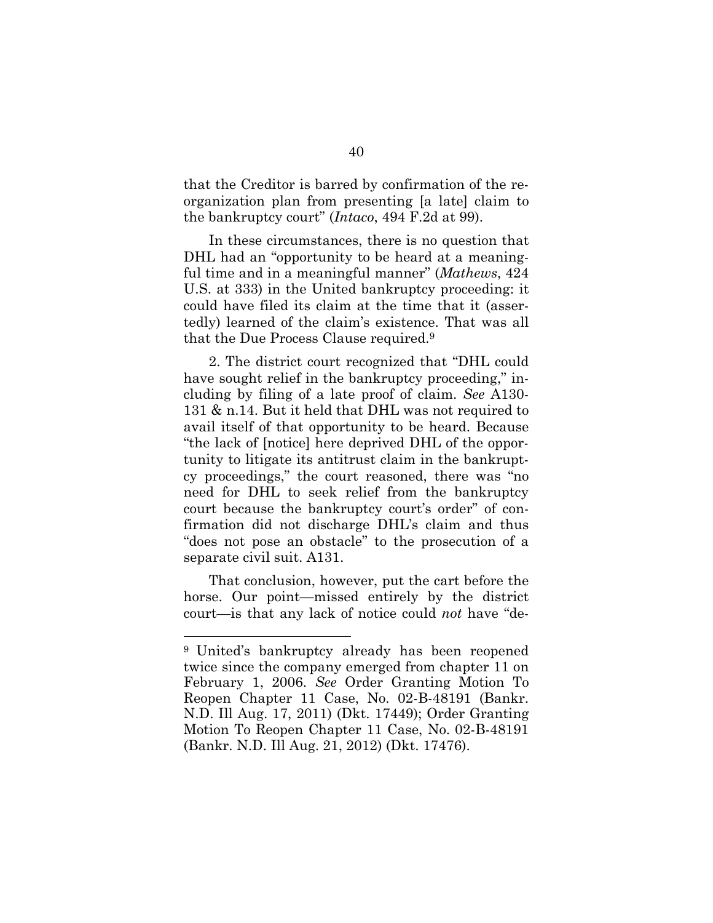that the Creditor is barred by confirmation of the reorganization plan from presenting [a late] claim to the bankruptcy court" (*Intaco*, 494 F.2d at 99).

In these circumstances, there is no question that DHL had an "opportunity to be heard at a meaningful time and in a meaningful manner" (*Mathews*, 424 U.S. at 333) in the United bankruptcy proceeding: it could have filed its claim at the time that it (assertedly) learned of the claim's existence. That was all that the Due Process Clause required.<sup>9</sup>

2. The district court recognized that "DHL could have sought relief in the bankruptcy proceeding," including by filing of a late proof of claim. *See* A130- 131 & n.14. But it held that DHL was not required to avail itself of that opportunity to be heard. Because "the lack of [notice] here deprived DHL of the opportunity to litigate its antitrust claim in the bankruptcy proceedings," the court reasoned, there was "no need for DHL to seek relief from the bankruptcy court because the bankruptcy court's order" of confirmation did not discharge DHL's claim and thus "does not pose an obstacle" to the prosecution of a separate civil suit. A131.

That conclusion, however, put the cart before the horse. Our point—missed entirely by the district court—is that any lack of notice could *not* have "de-

<sup>9</sup> United's bankruptcy already has been reopened twice since the company emerged from chapter 11 on February 1, 2006. *See* Order Granting Motion To Reopen Chapter 11 Case, No. 02-B-48191 (Bankr. N.D. Ill Aug. 17, 2011) (Dkt. 17449); Order Granting Motion To Reopen Chapter 11 Case, No. 02-B-48191 (Bankr. N.D. Ill Aug. 21, 2012) (Dkt. 17476).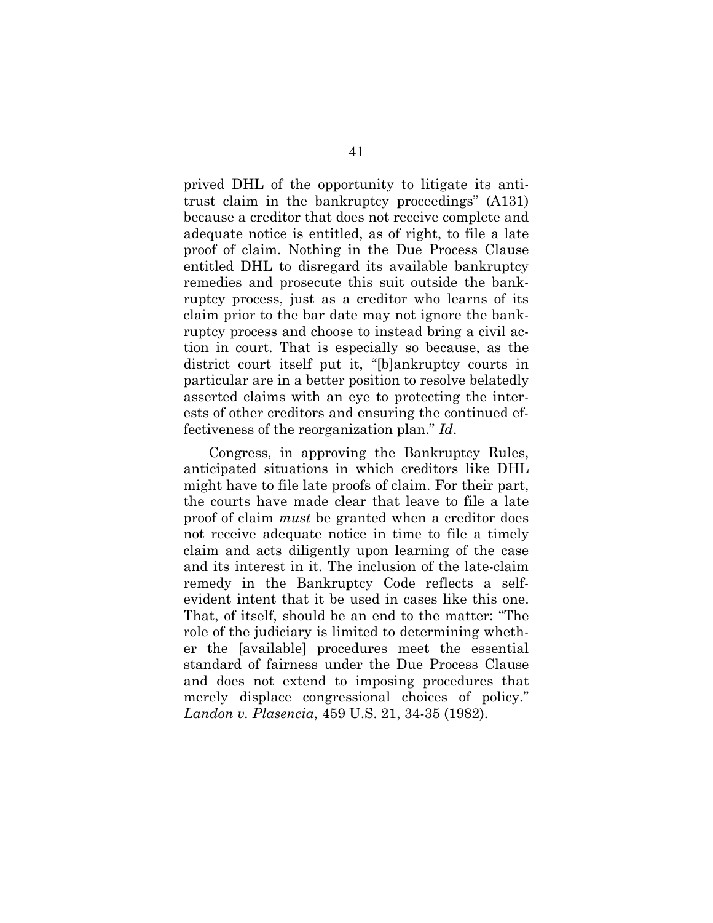prived DHL of the opportunity to litigate its antitrust claim in the bankruptcy proceedings" (A131) because a creditor that does not receive complete and adequate notice is entitled, as of right, to file a late proof of claim. Nothing in the Due Process Clause entitled DHL to disregard its available bankruptcy remedies and prosecute this suit outside the bankruptcy process, just as a creditor who learns of its claim prior to the bar date may not ignore the bankruptcy process and choose to instead bring a civil action in court. That is especially so because, as the district court itself put it, "[b]ankruptcy courts in particular are in a better position to resolve belatedly asserted claims with an eye to protecting the interests of other creditors and ensuring the continued effectiveness of the reorganization plan." *Id*.

Congress, in approving the Bankruptcy Rules, anticipated situations in which creditors like DHL might have to file late proofs of claim. For their part, the courts have made clear that leave to file a late proof of claim *must* be granted when a creditor does not receive adequate notice in time to file a timely claim and acts diligently upon learning of the case and its interest in it. The inclusion of the late-claim remedy in the Bankruptcy Code reflects a selfevident intent that it be used in cases like this one. That, of itself, should be an end to the matter: "The role of the judiciary is limited to determining whether the [available] procedures meet the essential standard of fairness under the Due Process Clause and does not extend to imposing procedures that merely displace congressional choices of policy." *Landon v. Plasencia*, 459 U.S. 21, 34-35 (1982).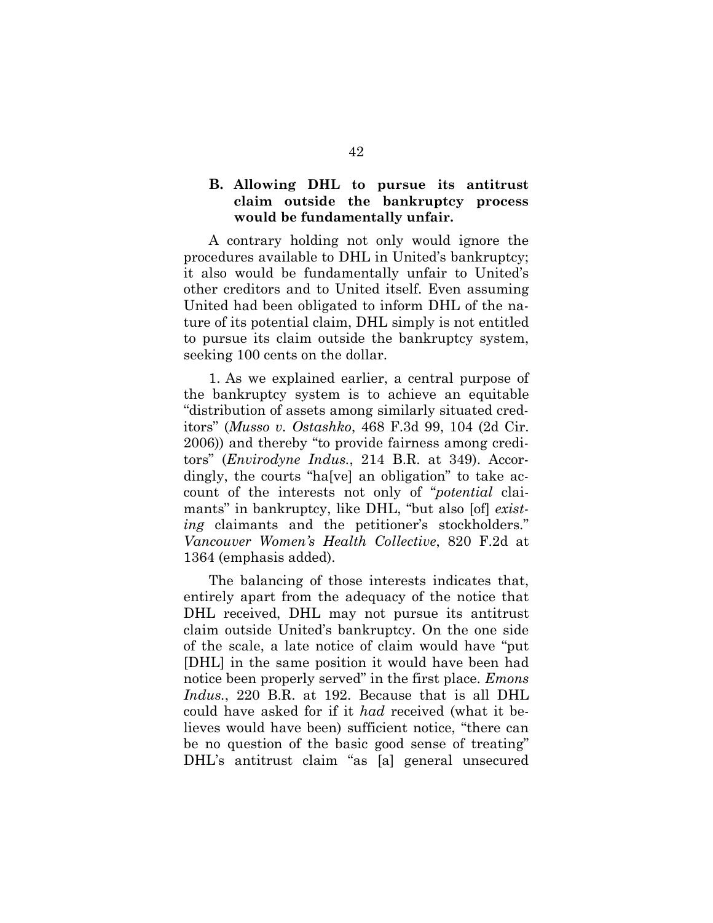## **B. Allowing DHL to pursue its antitrust claim outside the bankruptcy process would be fundamentally unfair.**

A contrary holding not only would ignore the procedures available to DHL in United's bankruptcy; it also would be fundamentally unfair to United's other creditors and to United itself. Even assuming United had been obligated to inform DHL of the nature of its potential claim, DHL simply is not entitled to pursue its claim outside the bankruptcy system, seeking 100 cents on the dollar.

1. As we explained earlier, a central purpose of the bankruptcy system is to achieve an equitable "distribution of assets among similarly situated creditors" (*Musso v. Ostashko*, 468 F.3d 99, 104 (2d Cir. 2006)) and thereby "to provide fairness among creditors" (*Envirodyne Indus.*, 214 B.R. at 349). Accordingly, the courts "ha[ve] an obligation" to take account of the interests not only of "*potential* claimants" in bankruptcy, like DHL, "but also [of] *existing* claimants and the petitioner's stockholders." *Vancouver Women's Health Collective*, 820 F.2d at 1364 (emphasis added).

The balancing of those interests indicates that, entirely apart from the adequacy of the notice that DHL received, DHL may not pursue its antitrust claim outside United's bankruptcy. On the one side of the scale, a late notice of claim would have "put [DHL] in the same position it would have been had notice been properly served" in the first place. *Emons Indus.*, 220 B.R. at 192. Because that is all DHL could have asked for if it *had* received (what it believes would have been) sufficient notice, "there can be no question of the basic good sense of treating" DHL's antitrust claim "as [a] general unsecured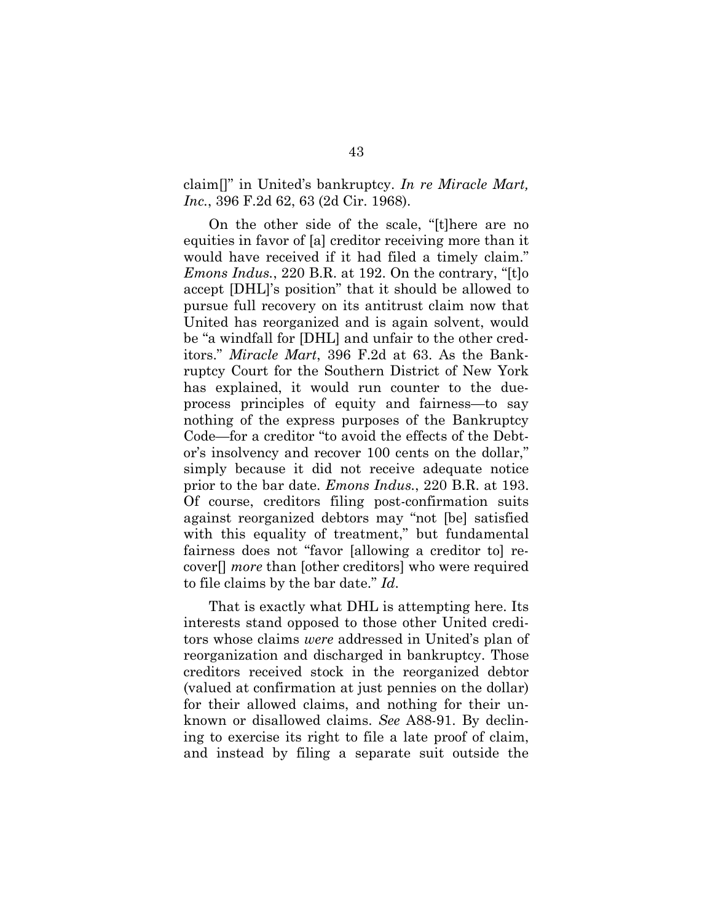claim[]" in United's bankruptcy. *In re Miracle Mart, Inc.*, 396 F.2d 62, 63 (2d Cir. 1968).

On the other side of the scale, "[t]here are no equities in favor of [a] creditor receiving more than it would have received if it had filed a timely claim." *Emons Indus.*, 220 B.R. at 192. On the contrary, "[t]o accept [DHL]'s position" that it should be allowed to pursue full recovery on its antitrust claim now that United has reorganized and is again solvent, would be "a windfall for [DHL] and unfair to the other creditors." *Miracle Mart*, 396 F.2d at 63. As the Bankruptcy Court for the Southern District of New York has explained, it would run counter to the dueprocess principles of equity and fairness—to say nothing of the express purposes of the Bankruptcy Code—for a creditor "to avoid the effects of the Debtor's insolvency and recover 100 cents on the dollar," simply because it did not receive adequate notice prior to the bar date. *Emons Indus.*, 220 B.R. at 193. Of course, creditors filing post-confirmation suits against reorganized debtors may "not [be] satisfied with this equality of treatment," but fundamental fairness does not "favor [allowing a creditor to] recover[] *more* than [other creditors] who were required to file claims by the bar date." *Id*.

That is exactly what DHL is attempting here. Its interests stand opposed to those other United creditors whose claims *were* addressed in United's plan of reorganization and discharged in bankruptcy. Those creditors received stock in the reorganized debtor (valued at confirmation at just pennies on the dollar) for their allowed claims, and nothing for their unknown or disallowed claims. *See* A88-91. By declining to exercise its right to file a late proof of claim, and instead by filing a separate suit outside the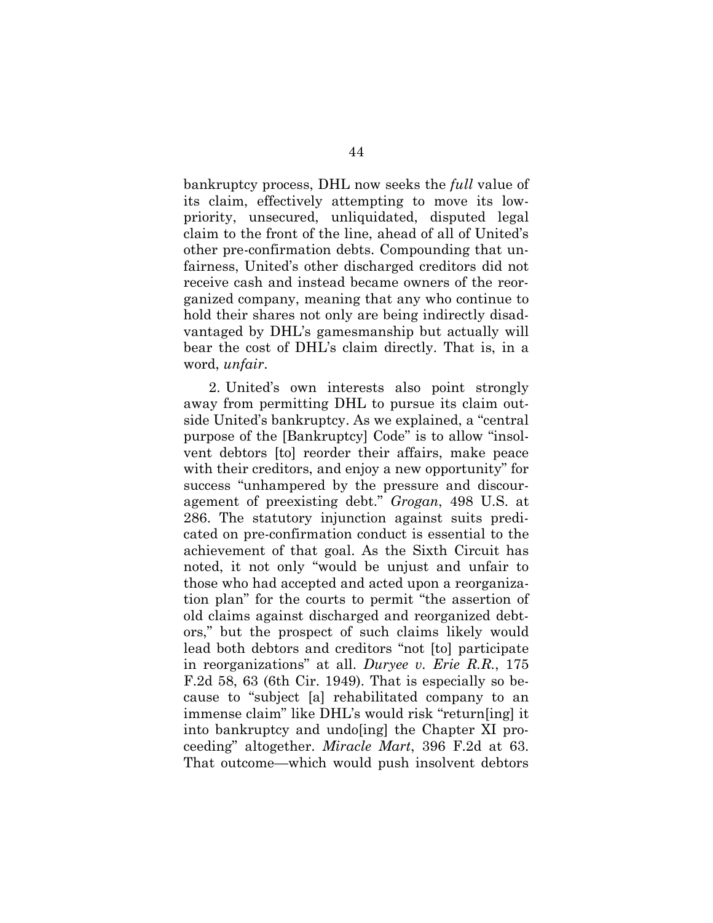bankruptcy process, DHL now seeks the *full* value of its claim, effectively attempting to move its lowpriority, unsecured, unliquidated, disputed legal claim to the front of the line, ahead of all of United's other pre-confirmation debts. Compounding that unfairness, United's other discharged creditors did not receive cash and instead became owners of the reorganized company, meaning that any who continue to hold their shares not only are being indirectly disadvantaged by DHL's gamesmanship but actually will bear the cost of DHL's claim directly. That is, in a word, *unfair*.

2. United's own interests also point strongly away from permitting DHL to pursue its claim outside United's bankruptcy. As we explained, a "central purpose of the [Bankruptcy] Code" is to allow "insolvent debtors [to] reorder their affairs, make peace with their creditors, and enjoy a new opportunity" for success "unhampered by the pressure and discouragement of preexisting debt." *Grogan*, 498 U.S. at 286. The statutory injunction against suits predicated on pre-confirmation conduct is essential to the achievement of that goal. As the Sixth Circuit has noted, it not only "would be unjust and unfair to those who had accepted and acted upon a reorganization plan" for the courts to permit "the assertion of old claims against discharged and reorganized debtors," but the prospect of such claims likely would lead both debtors and creditors "not [to] participate in reorganizations" at all. *Duryee v. Erie R.R.*, 175 F.2d 58, 63 (6th Cir. 1949). That is especially so because to "subject [a] rehabilitated company to an immense claim" like DHL's would risk "return[ing] it into bankruptcy and undo[ing] the Chapter XI proceeding" altogether. *Miracle Mart*, 396 F.2d at 63. That outcome—which would push insolvent debtors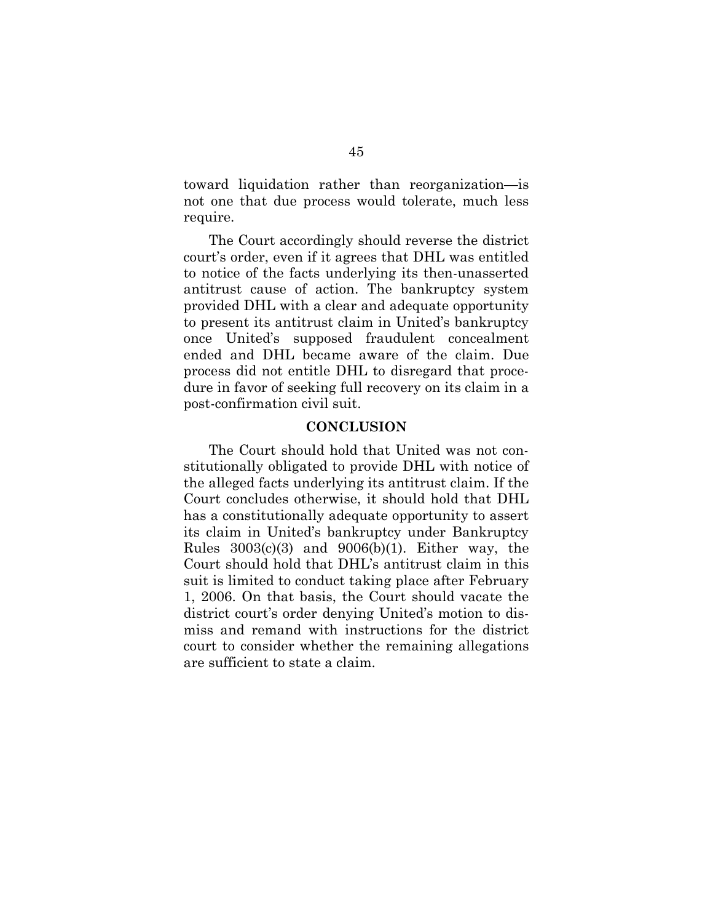toward liquidation rather than reorganization—is not one that due process would tolerate, much less require.

The Court accordingly should reverse the district court's order, even if it agrees that DHL was entitled to notice of the facts underlying its then-unasserted antitrust cause of action. The bankruptcy system provided DHL with a clear and adequate opportunity to present its antitrust claim in United's bankruptcy once United's supposed fraudulent concealment ended and DHL became aware of the claim. Due process did not entitle DHL to disregard that procedure in favor of seeking full recovery on its claim in a post-confirmation civil suit.

#### **CONCLUSION**

The Court should hold that United was not constitutionally obligated to provide DHL with notice of the alleged facts underlying its antitrust claim. If the Court concludes otherwise, it should hold that DHL has a constitutionally adequate opportunity to assert its claim in United's bankruptcy under Bankruptcy Rules  $3003(c)(3)$  and  $9006(b)(1)$ . Either way, the Court should hold that DHL's antitrust claim in this suit is limited to conduct taking place after February 1, 2006. On that basis, the Court should vacate the district court's order denying United's motion to dismiss and remand with instructions for the district court to consider whether the remaining allegations are sufficient to state a claim.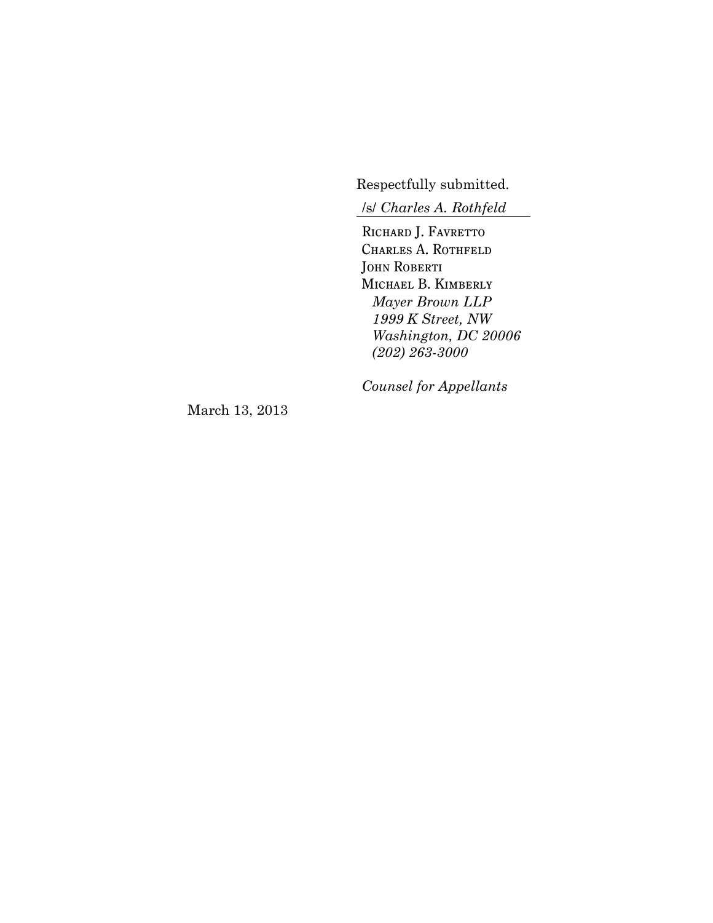Respectfully submitted.

/s/ *Charles A. Rothfeld*

RICHARD J. FAVRETTO CHARLES A. ROTHFELD JOHN ROBERTI Michael B. Kimberly *Mayer Brown LLP 1999 K Street, NW Washington, DC 20006 (202) 263-3000*

*Counsel for Appellants*

March 13, 2013